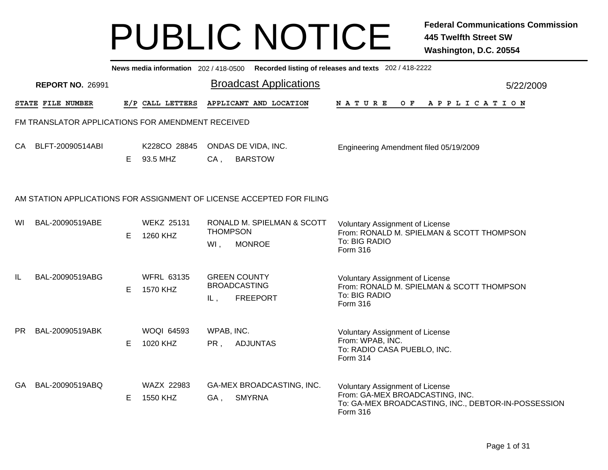|     |                                                   |    |                               |                        | News media information 202 / 418-0500 Recorded listing of releases and texts 202 / 418-2222 |                                                                                                                  |  |     |  |  |                       |  |                                                     |  |
|-----|---------------------------------------------------|----|-------------------------------|------------------------|---------------------------------------------------------------------------------------------|------------------------------------------------------------------------------------------------------------------|--|-----|--|--|-----------------------|--|-----------------------------------------------------|--|
|     | <b>REPORT NO. 26991</b>                           |    |                               |                        | <b>Broadcast Applications</b>                                                               |                                                                                                                  |  |     |  |  |                       |  | 5/22/2009                                           |  |
|     | STATE FILE NUMBER                                 |    | E/P CALL LETTERS              |                        | APPLICANT AND LOCATION                                                                      | <b>NATURE</b>                                                                                                    |  | O F |  |  | A P P L I C A T I O N |  |                                                     |  |
|     | FM TRANSLATOR APPLICATIONS FOR AMENDMENT RECEIVED |    |                               |                        |                                                                                             |                                                                                                                  |  |     |  |  |                       |  |                                                     |  |
| CA. | BLFT-20090514ABI                                  | Е  | K228CO 28845<br>93.5 MHZ      | CA,                    | ONDAS DE VIDA, INC.<br><b>BARSTOW</b>                                                       | Engineering Amendment filed 05/19/2009                                                                           |  |     |  |  |                       |  |                                                     |  |
|     |                                                   |    |                               |                        | AM STATION APPLICATIONS FOR ASSIGNMENT OF LICENSE ACCEPTED FOR FILING                       |                                                                                                                  |  |     |  |  |                       |  |                                                     |  |
| WI  | BAL-20090519ABE                                   | E. | <b>WEKZ 25131</b><br>1260 KHZ | <b>THOMPSON</b><br>WI, | RONALD M. SPIELMAN & SCOTT<br><b>MONROE</b>                                                 | <b>Voluntary Assignment of License</b><br>From: RONALD M. SPIELMAN & SCOTT THOMPSON<br>To: BIG RADIO<br>Form 316 |  |     |  |  |                       |  |                                                     |  |
| IL  | BAL-20090519ABG                                   | Е  | <b>WFRL 63135</b><br>1570 KHZ | IL,                    | <b>GREEN COUNTY</b><br><b>BROADCASTING</b><br><b>FREEPORT</b>                               | <b>Voluntary Assignment of License</b><br>From: RONALD M. SPIELMAN & SCOTT THOMPSON<br>To: BIG RADIO<br>Form 316 |  |     |  |  |                       |  |                                                     |  |
| PR. | BAL-20090519ABK                                   | E  | <b>WOQI 64593</b><br>1020 KHZ | WPAB, INC.<br>PR,      | <b>ADJUNTAS</b>                                                                             | Voluntary Assignment of License<br>From: WPAB, INC.<br>To: RADIO CASA PUEBLO, INC.<br>Form 314                   |  |     |  |  |                       |  |                                                     |  |
| GA. | BAL-20090519ABQ                                   | Е  | WAZX 22983<br>1550 KHZ        | GA,                    | GA-MEX BROADCASTING, INC.<br><b>SMYRNA</b>                                                  | <b>Voluntary Assignment of License</b><br>From: GA-MEX BROADCASTING, INC.<br>Form 316                            |  |     |  |  |                       |  | To: GA-MEX BROADCASTING, INC., DEBTOR-IN-POSSESSION |  |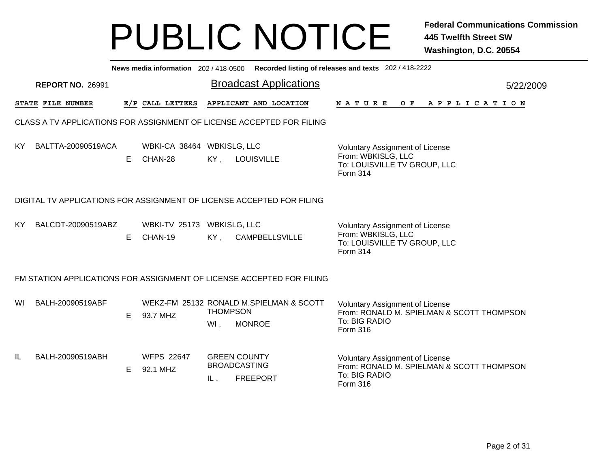|     |                                                                       |    |                                       |                        | News media information 202/418-0500 Recorded listing of releases and texts 202/418-2222<br><b>Broadcast Applications</b> |                                                                                                                  |           |  |  |  |  |  |  |  |  |  |  |  |
|-----|-----------------------------------------------------------------------|----|---------------------------------------|------------------------|--------------------------------------------------------------------------------------------------------------------------|------------------------------------------------------------------------------------------------------------------|-----------|--|--|--|--|--|--|--|--|--|--|--|
|     | <b>REPORT NO. 26991</b>                                               |    |                                       |                        |                                                                                                                          |                                                                                                                  | 5/22/2009 |  |  |  |  |  |  |  |  |  |  |  |
|     | STATE FILE NUMBER                                                     |    | E/P CALL LETTERS                      |                        | APPLICANT AND LOCATION                                                                                                   | NATURE<br>OF APPLICATION                                                                                         |           |  |  |  |  |  |  |  |  |  |  |  |
|     |                                                                       |    |                                       |                        | CLASS A TV APPLICATIONS FOR ASSIGNMENT OF LICENSE ACCEPTED FOR FILING                                                    |                                                                                                                  |           |  |  |  |  |  |  |  |  |  |  |  |
| KY. | BALTTA-20090519ACA                                                    | E. | WBKI-CA 38464 WBKISLG, LLC<br>CHAN-28 |                        | KY, LOUISVILLE                                                                                                           | <b>Voluntary Assignment of License</b><br>From: WBKISLG, LLC<br>To: LOUISVILLE TV GROUP, LLC<br>Form 314         |           |  |  |  |  |  |  |  |  |  |  |  |
|     | DIGITAL TV APPLICATIONS FOR ASSIGNMENT OF LICENSE ACCEPTED FOR FILING |    |                                       |                        |                                                                                                                          |                                                                                                                  |           |  |  |  |  |  |  |  |  |  |  |  |
| KY. | BALCDT-20090519ABZ                                                    | E. | WBKI-TV 25173 WBKISLG, LLC<br>CHAN-19 | KY,                    | <b>CAMPBELLSVILLE</b>                                                                                                    | <b>Voluntary Assignment of License</b><br>From: WBKISLG, LLC<br>To: LOUISVILLE TV GROUP, LLC<br><b>Form 314</b>  |           |  |  |  |  |  |  |  |  |  |  |  |
|     |                                                                       |    |                                       |                        | FM STATION APPLICATIONS FOR ASSIGNMENT OF LICENSE ACCEPTED FOR FILING                                                    |                                                                                                                  |           |  |  |  |  |  |  |  |  |  |  |  |
| WI  | BALH-20090519ABF                                                      | E. | 93.7 MHZ                              | <b>THOMPSON</b><br>Wl, | WEKZ-FM 25132 RONALD M.SPIELMAN & SCOTT<br><b>MONROE</b>                                                                 | <b>Voluntary Assignment of License</b><br>From: RONALD M. SPIELMAN & SCOTT THOMPSON<br>To: BIG RADIO<br>Form 316 |           |  |  |  |  |  |  |  |  |  |  |  |
| IL  | BALH-20090519ABH                                                      | E. | <b>WFPS 22647</b><br>92.1 MHZ         | IL,                    | <b>GREEN COUNTY</b><br><b>BROADCASTING</b><br><b>FREEPORT</b>                                                            | <b>Voluntary Assignment of License</b><br>From: RONALD M. SPIELMAN & SCOTT THOMPSON<br>To: BIG RADIO<br>Form 316 |           |  |  |  |  |  |  |  |  |  |  |  |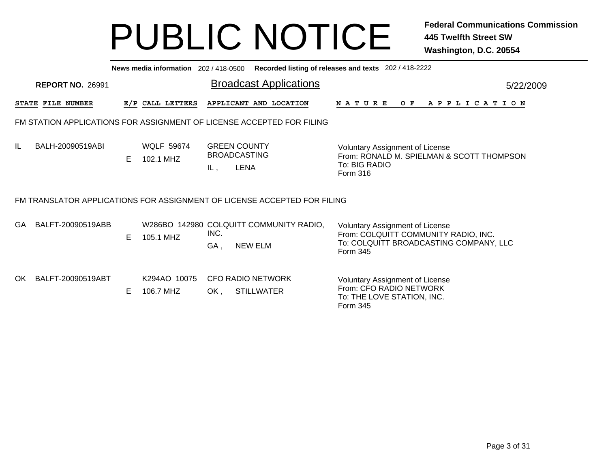|     | News media information 202 / 418-0500<br>Recorded listing of releases and texts 202 / 418-2222 |    |                                |             |                                                                          |                                                                                                                                      |  |  |  |  |  |  |  |  |
|-----|------------------------------------------------------------------------------------------------|----|--------------------------------|-------------|--------------------------------------------------------------------------|--------------------------------------------------------------------------------------------------------------------------------------|--|--|--|--|--|--|--|--|
|     | <b>REPORT NO. 26991</b>                                                                        |    |                                |             | <b>Broadcast Applications</b>                                            | 5/22/2009                                                                                                                            |  |  |  |  |  |  |  |  |
|     | STATE FILE NUMBER                                                                              |    | E/P CALL LETTERS               |             | APPLICANT AND LOCATION                                                   | O F<br>A P P L I C A T I O N<br><b>NATURE</b>                                                                                        |  |  |  |  |  |  |  |  |
|     |                                                                                                |    |                                |             | FM STATION APPLICATIONS FOR ASSIGNMENT OF LICENSE ACCEPTED FOR FILING    |                                                                                                                                      |  |  |  |  |  |  |  |  |
| IL  | BALH-20090519ABI                                                                               | E. | <b>WQLF 59674</b><br>102.1 MHZ | IL,         | <b>GREEN COUNTY</b><br><b>BROADCASTING</b><br><b>LENA</b>                | <b>Voluntary Assignment of License</b><br>From: RONALD M. SPIELMAN & SCOTT THOMPSON<br>To: BIG RADIO<br>Form 316                     |  |  |  |  |  |  |  |  |
|     |                                                                                                |    |                                |             | FM TRANSLATOR APPLICATIONS FOR ASSIGNMENT OF LICENSE ACCEPTED FOR FILING |                                                                                                                                      |  |  |  |  |  |  |  |  |
| GA. | BALFT-20090519ABB                                                                              | E. | 105.1 MHZ                      | INC.<br>GA, | W286BO 142980 COLQUITT COMMUNITY RADIO,<br><b>NEW ELM</b>                | <b>Voluntary Assignment of License</b><br>From: COLQUITT COMMUNITY RADIO, INC.<br>To: COLQUITT BROADCASTING COMPANY, LLC<br>Form 345 |  |  |  |  |  |  |  |  |
| OK. | BALFT-20090519ABT                                                                              | E. | K294AO 10075<br>106.7 MHZ      | OK.         | <b>CFO RADIO NETWORK</b><br><b>STILLWATER</b>                            | <b>Voluntary Assignment of License</b><br>From: CFO RADIO NETWORK<br>To: THE LOVE STATION, INC.<br>Form 345                          |  |  |  |  |  |  |  |  |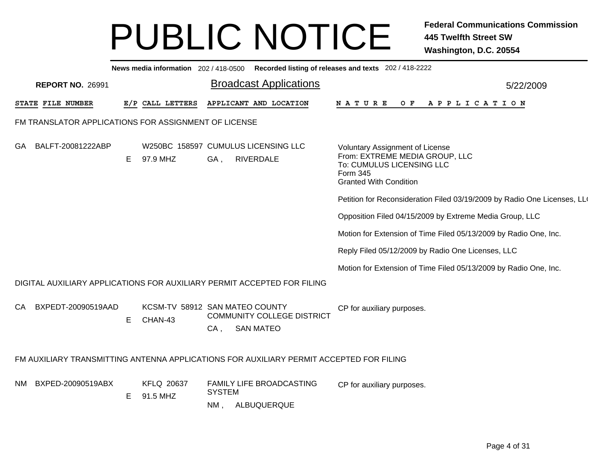|    | News media information 202 / 418-0500 Recorded listing of releases and texts 202 / 418-2222 |    |                               |                                                                                                   |  |                                                                                                                                             |  |  |  |  |  |  |  |  |
|----|---------------------------------------------------------------------------------------------|----|-------------------------------|---------------------------------------------------------------------------------------------------|--|---------------------------------------------------------------------------------------------------------------------------------------------|--|--|--|--|--|--|--|--|
|    | <b>REPORT NO. 26991</b>                                                                     |    |                               | <b>Broadcast Applications</b>                                                                     |  | 5/22/2009                                                                                                                                   |  |  |  |  |  |  |  |  |
|    | STATE FILE NUMBER                                                                           |    | E/P CALL LETTERS              | APPLICANT AND LOCATION                                                                            |  | NATURE<br>APPLICATION<br>O F                                                                                                                |  |  |  |  |  |  |  |  |
|    | FM TRANSLATOR APPLICATIONS FOR ASSIGNMENT OF LICENSE                                        |    |                               |                                                                                                   |  |                                                                                                                                             |  |  |  |  |  |  |  |  |
| GA | BALFT-20081222ABP                                                                           | E. | 97.9 MHZ                      | W250BC 158597 CUMULUS LICENSING LLC<br>GA,<br>RIVERDALE                                           |  | Voluntary Assignment of License<br>From: EXTREME MEDIA GROUP, LLC<br>To: CUMULUS LICENSING LLC<br>Form 345<br><b>Granted With Condition</b> |  |  |  |  |  |  |  |  |
|    |                                                                                             |    |                               |                                                                                                   |  | Petition for Reconsideration Filed 03/19/2009 by Radio One Licenses, LLO                                                                    |  |  |  |  |  |  |  |  |
|    |                                                                                             |    |                               |                                                                                                   |  | Opposition Filed 04/15/2009 by Extreme Media Group, LLC                                                                                     |  |  |  |  |  |  |  |  |
|    |                                                                                             |    |                               |                                                                                                   |  | Motion for Extension of Time Filed 05/13/2009 by Radio One, Inc.                                                                            |  |  |  |  |  |  |  |  |
|    |                                                                                             |    |                               |                                                                                                   |  | Reply Filed 05/12/2009 by Radio One Licenses, LLC                                                                                           |  |  |  |  |  |  |  |  |
|    |                                                                                             |    |                               |                                                                                                   |  | Motion for Extension of Time Filed 05/13/2009 by Radio One, Inc.                                                                            |  |  |  |  |  |  |  |  |
|    |                                                                                             |    |                               | DIGITAL AUXILIARY APPLICATIONS FOR AUXILIARY PERMIT ACCEPTED FOR FILING                           |  |                                                                                                                                             |  |  |  |  |  |  |  |  |
|    | CA BXPEDT-20090519AAD                                                                       | E  | CHAN-43                       | KCSM-TV 58912 SAN MATEO COUNTY<br><b>COMMUNITY COLLEGE DISTRICT</b><br><b>SAN MATEO</b><br>$CA$ , |  | CP for auxiliary purposes.                                                                                                                  |  |  |  |  |  |  |  |  |
|    |                                                                                             |    |                               | FM AUXILIARY TRANSMITTING ANTENNA APPLICATIONS FOR AUXILIARY PERMIT ACCEPTED FOR FILING           |  |                                                                                                                                             |  |  |  |  |  |  |  |  |
|    | NM BXPED-20090519ABX                                                                        | E  | <b>KFLQ 20637</b><br>91.5 MHZ | FAMILY LIFE BROADCASTING<br><b>SYSTEM</b><br>ALBUQUERQUE<br>$NM$ ,                                |  | CP for auxiliary purposes.                                                                                                                  |  |  |  |  |  |  |  |  |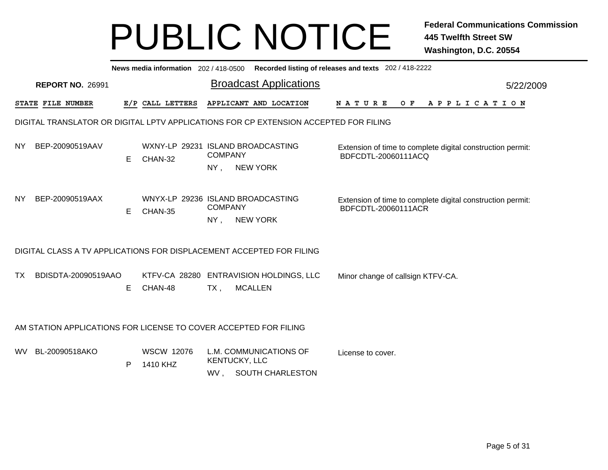|     |                                                                                      |    |                                              |                          |                                            | News media information 202 / 418-0500 Recorded listing of releases and texts 202 / 418-2222 |           |
|-----|--------------------------------------------------------------------------------------|----|----------------------------------------------|--------------------------|--------------------------------------------|---------------------------------------------------------------------------------------------|-----------|
|     | <b>REPORT NO. 26991</b>                                                              |    |                                              |                          | <b>Broadcast Applications</b>              |                                                                                             | 5/22/2009 |
|     | STATE FILE NUMBER                                                                    |    | E/P CALL LETTERS                             |                          | APPLICANT AND LOCATION                     | <b>NATURE</b><br>O F<br>A P P L I C A T I O N                                               |           |
|     | DIGITAL TRANSLATOR OR DIGITAL LPTV APPLICATIONS FOR CP EXTENSION ACCEPTED FOR FILING |    |                                              |                          |                                            |                                                                                             |           |
| NY. | BEP-20090519AAV                                                                      | E. | WXNY-LP 29231 ISLAND BROADCASTING<br>CHAN-32 | <b>COMPANY</b><br>NY,    | <b>NEW YORK</b>                            | Extension of time to complete digital construction permit:<br>BDFCDTL-20060111ACQ           |           |
| NY. | BEP-20090519AAX                                                                      | E  | WNYX-LP 29236 ISLAND BROADCASTING<br>CHAN-35 | <b>COMPANY</b><br>NY,    | <b>NEW YORK</b>                            | Extension of time to complete digital construction permit:<br>BDFCDTL-20060111ACR           |           |
|     | DIGITAL CLASS A TV APPLICATIONS FOR DISPLACEMENT ACCEPTED FOR FILING                 |    |                                              |                          |                                            |                                                                                             |           |
| TX  | BDISDTA-20090519AAO                                                                  | Е  | CHAN-48                                      | <b>MCALLEN</b><br>$TX$ , | KTFV-CA 28280 ENTRAVISION HOLDINGS, LLC    | Minor change of callsign KTFV-CA.                                                           |           |
|     | AM STATION APPLICATIONS FOR LICENSE TO COVER ACCEPTED FOR FILING                     |    |                                              |                          |                                            |                                                                                             |           |
| WV. | BL-20090518AKO                                                                       | P  | <b>WSCW 12076</b><br>1410 KHZ                | KENTUCKY, LLC<br>WV,     | L.M. COMMUNICATIONS OF<br>SOUTH CHARLESTON | License to cover.                                                                           |           |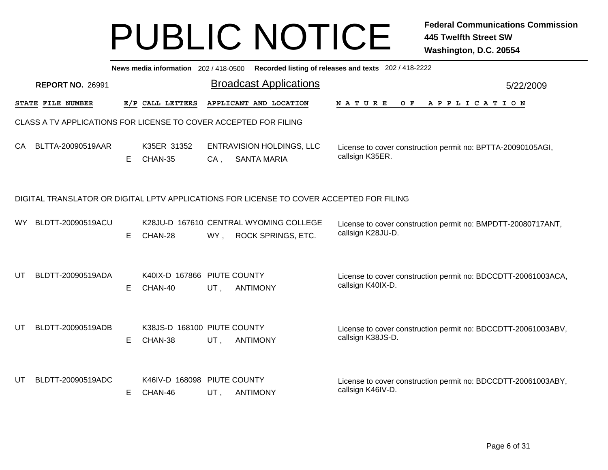|     |                                                                  |    |                                        |        | News media information 202/418-0500 Recorded listing of releases and texts 202/418-2222  |                                                                                    |           |
|-----|------------------------------------------------------------------|----|----------------------------------------|--------|------------------------------------------------------------------------------------------|------------------------------------------------------------------------------------|-----------|
|     | <b>REPORT NO. 26991</b>                                          |    |                                        |        | <b>Broadcast Applications</b>                                                            |                                                                                    | 5/22/2009 |
|     | STATE FILE NUMBER                                                |    | E/P CALL LETTERS                       |        | APPLICANT AND LOCATION                                                                   | N A T U R E<br>O F<br>A P P L I C A T I O N                                        |           |
|     | CLASS A TV APPLICATIONS FOR LICENSE TO COVER ACCEPTED FOR FILING |    |                                        |        |                                                                                          |                                                                                    |           |
| CA  | BLTTA-20090519AAR                                                | E  | K35ER 31352<br>CHAN-35                 | $CA$ , | <b>ENTRAVISION HOLDINGS, LLC</b><br><b>SANTA MARIA</b>                                   | License to cover construction permit no: BPTTA-20090105AGI,<br>callsign K35ER.     |           |
|     |                                                                  |    |                                        |        | DIGITAL TRANSLATOR OR DIGITAL LPTV APPLICATIONS FOR LICENSE TO COVER ACCEPTED FOR FILING |                                                                                    |           |
| WY. | BLDTT-20090519ACU                                                | E. | CHAN-28                                | WY,    | K28JU-D 167610 CENTRAL WYOMING COLLEGE<br>ROCK SPRINGS, ETC.                             | License to cover construction permit no: BMPDTT-20080717ANT,<br>callsign K28JU-D.  |           |
| UT  | BLDTT-20090519ADA                                                | Е  | K40IX-D 167866 PIUTE COUNTY<br>CHAN-40 | UT,    | <b>ANTIMONY</b>                                                                          | License to cover construction permit no: BDCCDTT-20061003ACA,<br>callsign K40IX-D. |           |
| UT  | BLDTT-20090519ADB                                                | E  | K38JS-D 168100 PIUTE COUNTY<br>CHAN-38 | UT,    | <b>ANTIMONY</b>                                                                          | License to cover construction permit no: BDCCDTT-20061003ABV,<br>callsign K38JS-D. |           |
| UT  | BLDTT-20090519ADC                                                | Е  | K46IV-D 168098 PIUTE COUNTY<br>CHAN-46 | UT,    | <b>ANTIMONY</b>                                                                          | License to cover construction permit no: BDCCDTT-20061003ABY,<br>callsign K46IV-D. |           |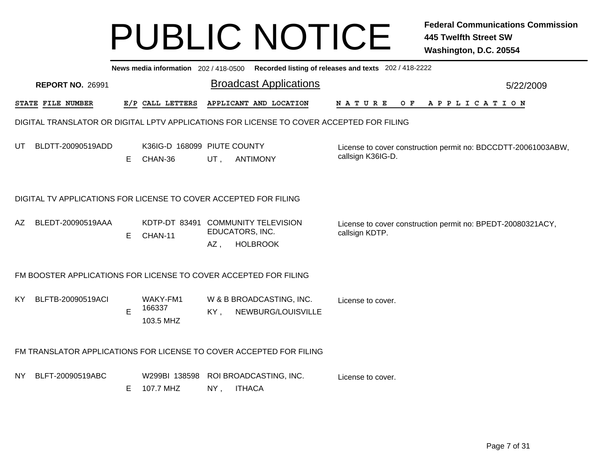|      |                                                                                          | News media information 202/418-0500 Recorded listing of releases and texts 202/418-2222<br><b>Broadcast Applications</b><br>5/22/2009 |                                        |                        |               |                                                |  |                                                                                    |  |  |  |  |  |  |                       |  |  |  |
|------|------------------------------------------------------------------------------------------|---------------------------------------------------------------------------------------------------------------------------------------|----------------------------------------|------------------------|---------------|------------------------------------------------|--|------------------------------------------------------------------------------------|--|--|--|--|--|--|-----------------------|--|--|--|
|      | <b>REPORT NO. 26991</b>                                                                  |                                                                                                                                       |                                        |                        |               |                                                |  |                                                                                    |  |  |  |  |  |  |                       |  |  |  |
|      | STATE FILE NUMBER                                                                        |                                                                                                                                       | E/P CALL LETTERS                       |                        |               | APPLICANT AND LOCATION                         |  | NATURE OF                                                                          |  |  |  |  |  |  | A P P L I C A T I O N |  |  |  |
|      | DIGITAL TRANSLATOR OR DIGITAL LPTV APPLICATIONS FOR LICENSE TO COVER ACCEPTED FOR FILING |                                                                                                                                       |                                        |                        |               |                                                |  |                                                                                    |  |  |  |  |  |  |                       |  |  |  |
| UT   | BLDTT-20090519ADD                                                                        | E.                                                                                                                                    | K36IG-D 168099 PIUTE COUNTY<br>CHAN-36 | UT,                    |               | <b>ANTIMONY</b>                                |  | License to cover construction permit no: BDCCDTT-20061003ABW,<br>callsign K36IG-D. |  |  |  |  |  |  |                       |  |  |  |
|      | DIGITAL TV APPLICATIONS FOR LICENSE TO COVER ACCEPTED FOR FILING                         |                                                                                                                                       |                                        |                        |               |                                                |  |                                                                                    |  |  |  |  |  |  |                       |  |  |  |
| AZ   | BLEDT-20090519AAA                                                                        | E.                                                                                                                                    | KDTP-DT 83491<br>CHAN-11               | EDUCATORS, INC.<br>AZ, |               | <b>COMMUNITY TELEVISION</b><br><b>HOLBROOK</b> |  | License to cover construction permit no: BPEDT-20080321ACY,<br>callsign KDTP.      |  |  |  |  |  |  |                       |  |  |  |
|      | FM BOOSTER APPLICATIONS FOR LICENSE TO COVER ACCEPTED FOR FILING                         |                                                                                                                                       |                                        |                        |               |                                                |  |                                                                                    |  |  |  |  |  |  |                       |  |  |  |
| KY.  | BLFTB-20090519ACI                                                                        | E                                                                                                                                     | WAKY-FM1<br>166337<br>103.5 MHZ        | KY,                    |               | W & B BROADCASTING, INC.<br>NEWBURG/LOUISVILLE |  | License to cover.                                                                  |  |  |  |  |  |  |                       |  |  |  |
|      | FM TRANSLATOR APPLICATIONS FOR LICENSE TO COVER ACCEPTED FOR FILING                      |                                                                                                                                       |                                        |                        |               |                                                |  |                                                                                    |  |  |  |  |  |  |                       |  |  |  |
| NY I | BLFT-20090519ABC                                                                         | E                                                                                                                                     | W299BI 138598<br>107.7 MHZ             | $NY$ ,                 | <b>ITHACA</b> | ROI BROADCASTING, INC.                         |  | License to cover.                                                                  |  |  |  |  |  |  |                       |  |  |  |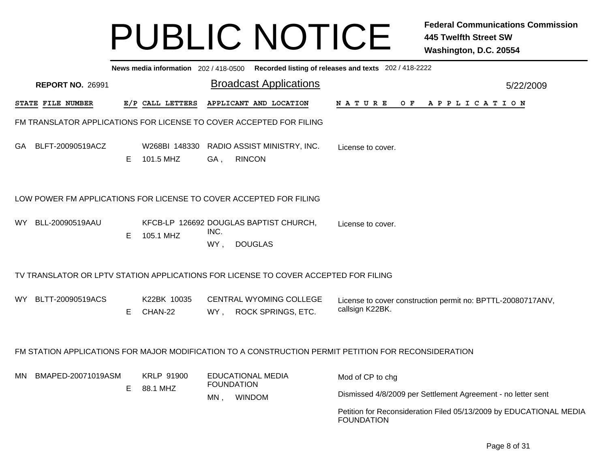|                          |   |                        | News media information 202 / 418-0500 Recorded listing of releases and texts 202 / 418-2222 |                                                                                                      |
|--------------------------|---|------------------------|---------------------------------------------------------------------------------------------|------------------------------------------------------------------------------------------------------|
| <b>REPORT NO. 26991</b>  |   |                        | <b>Broadcast Applications</b>                                                               | 5/22/2009                                                                                            |
| <b>STATE FILE NUMBER</b> |   | E/P CALL LETTERS       | APPLICANT AND LOCATION                                                                      | N A T U R E<br>OF APPLICATION                                                                        |
|                          |   |                        | FM TRANSLATOR APPLICATIONS FOR LICENSE TO COVER ACCEPTED FOR FILING                         |                                                                                                      |
| GA BLFT-20090519ACZ      | Е | 101.5 MHZ              | W268BI 148330 RADIO ASSIST MINISTRY, INC.<br><b>RINCON</b><br>GA,                           | License to cover.                                                                                    |
|                          |   |                        | LOW POWER FM APPLICATIONS FOR LICENSE TO COVER ACCEPTED FOR FILING                          |                                                                                                      |
| WY l<br>BLL-20090519AAU  | Е | 105.1 MHZ              | KFCB-LP 126692 DOUGLAS BAPTIST CHURCH,<br>INC.<br>WY,<br><b>DOUGLAS</b>                     | License to cover.                                                                                    |
|                          |   |                        | TV TRANSLATOR OR LPTV STATION APPLICATIONS FOR LICENSE TO COVER ACCEPTED FOR FILING         |                                                                                                      |
| BLTT-20090519ACS<br>WY l | E | K22BK 10035<br>CHAN-22 | CENTRAL WYOMING COLLEGE<br>ROCK SPRINGS, ETC.<br>WY.                                        | License to cover construction permit no: BPTTL-20080717ANV,<br>callsign K22BK.                       |
|                          |   |                        |                                                                                             | FM STATION APPLICATIONS FOR MAJOR MODIFICATION TO A CONSTRUCTION PERMIT PETITION FOR RECONSIDERATION |
| BMAPED-20071019ASM<br>МN |   | <b>KRLP 91900</b>      | <b>EDUCATIONAL MEDIA</b><br><b>FOUNDATION</b>                                               | Mod of CP to chg                                                                                     |
|                          | Е | 88.1 MHZ               | <b>WINDOM</b><br>MN,                                                                        | Dismissed 4/8/2009 per Settlement Agreement - no letter sent                                         |
|                          |   |                        |                                                                                             | Petition for Reconsideration Filed 05/13/2009 by EDUCATIONAL MEDIA<br><b>FOUNDATION</b>              |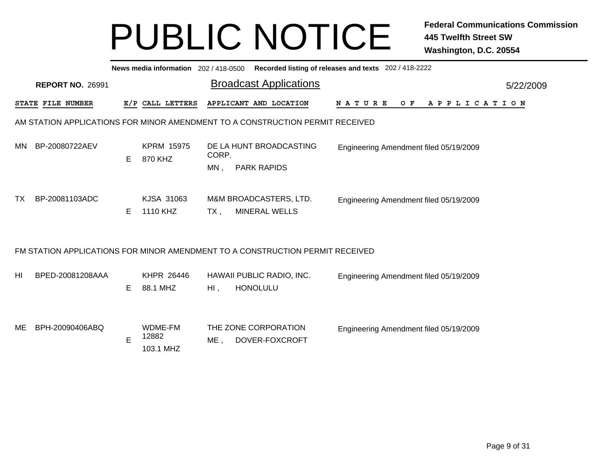|     | News media information 202 / 418-0500 Recorded listing of releases and texts 202 / 418-2222<br>5/22/2009 |             |                               |              |                                                                               |                                        |  |  |  |  |     |  |  |  |  |                       |  |  |
|-----|----------------------------------------------------------------------------------------------------------|-------------|-------------------------------|--------------|-------------------------------------------------------------------------------|----------------------------------------|--|--|--|--|-----|--|--|--|--|-----------------------|--|--|
|     | <b>REPORT NO. 26991</b>                                                                                  |             |                               |              | <b>Broadcast Applications</b>                                                 |                                        |  |  |  |  |     |  |  |  |  |                       |  |  |
|     | STATE FILE NUMBER                                                                                        |             | E/P CALL LETTERS              |              | APPLICANT AND LOCATION                                                        | NATURE                                 |  |  |  |  | O F |  |  |  |  | A P P L I C A T I O N |  |  |
|     |                                                                                                          |             |                               |              | AM STATION APPLICATIONS FOR MINOR AMENDMENT TO A CONSTRUCTION PERMIT RECEIVED |                                        |  |  |  |  |     |  |  |  |  |                       |  |  |
| MN  | BP-20080722AEV                                                                                           | E.          | <b>KPRM 15975</b><br>870 KHZ  | CORP.<br>MN, | DE LA HUNT BROADCASTING<br><b>PARK RAPIDS</b>                                 | Engineering Amendment filed 05/19/2009 |  |  |  |  |     |  |  |  |  |                       |  |  |
| TX. | BP-20081103ADC                                                                                           | Е           | KJSA 31063<br>1110 KHZ        | $TX$ ,       | M&M BROADCASTERS, LTD.<br><b>MINERAL WELLS</b>                                | Engineering Amendment filed 05/19/2009 |  |  |  |  |     |  |  |  |  |                       |  |  |
|     |                                                                                                          |             |                               |              | FM STATION APPLICATIONS FOR MINOR AMENDMENT TO A CONSTRUCTION PERMIT RECEIVED |                                        |  |  |  |  |     |  |  |  |  |                       |  |  |
| HI  | BPED-20081208AAA                                                                                         | Е           | KHPR 26446<br>88.1 MHZ        | $H1$ ,       | HAWAII PUBLIC RADIO, INC.<br><b>HONOLULU</b>                                  | Engineering Amendment filed 05/19/2009 |  |  |  |  |     |  |  |  |  |                       |  |  |
| ME  | BPH-20090406ABQ                                                                                          | $\mathsf E$ | WDME-FM<br>12882<br>103.1 MHZ | ME,          | THE ZONE CORPORATION<br>DOVER-FOXCROFT                                        | Engineering Amendment filed 05/19/2009 |  |  |  |  |     |  |  |  |  |                       |  |  |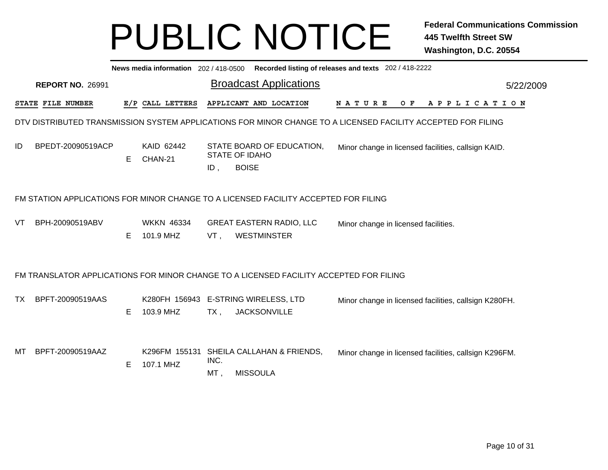|    | News media information 202 / 418-0500 Recorded listing of releases and texts 202 / 418-2222<br><b>Broadcast Applications</b><br>5/22/2009 |   |                                |             |                                                                                                              |             |                                                       |  |  |     |  |                       |  |  |  |  |  |  |
|----|-------------------------------------------------------------------------------------------------------------------------------------------|---|--------------------------------|-------------|--------------------------------------------------------------------------------------------------------------|-------------|-------------------------------------------------------|--|--|-----|--|-----------------------|--|--|--|--|--|--|
|    | <b>REPORT NO. 26991</b>                                                                                                                   |   |                                |             |                                                                                                              |             |                                                       |  |  |     |  |                       |  |  |  |  |  |  |
|    | <b>STATE FILE NUMBER</b>                                                                                                                  |   | E/P CALL LETTERS               |             | APPLICANT AND LOCATION                                                                                       | N A T U R E |                                                       |  |  | O F |  | A P P L I C A T I O N |  |  |  |  |  |  |
|    |                                                                                                                                           |   |                                |             | DTV DISTRIBUTED TRANSMISSION SYSTEM APPLICATIONS FOR MINOR CHANGE TO A LICENSED FACILITY ACCEPTED FOR FILING |             |                                                       |  |  |     |  |                       |  |  |  |  |  |  |
| ID | BPEDT-20090519ACP                                                                                                                         | Е | KAID 62442<br>CHAN-21          | ID,         | STATE BOARD OF EDUCATION,<br><b>STATE OF IDAHO</b><br><b>BOISE</b>                                           |             | Minor change in licensed facilities, callsign KAID.   |  |  |     |  |                       |  |  |  |  |  |  |
|    | FM STATION APPLICATIONS FOR MINOR CHANGE TO A LICENSED FACILITY ACCEPTED FOR FILING<br>Minor change in licensed facilities.               |   |                                |             |                                                                                                              |             |                                                       |  |  |     |  |                       |  |  |  |  |  |  |
| VT | BPH-20090519ABV                                                                                                                           | Е | <b>WKKN 46334</b><br>101.9 MHZ | VT,         | <b>GREAT EASTERN RADIO, LLC</b><br><b>WESTMINSTER</b>                                                        |             |                                                       |  |  |     |  |                       |  |  |  |  |  |  |
|    |                                                                                                                                           |   |                                |             | FM TRANSLATOR APPLICATIONS FOR MINOR CHANGE TO A LICENSED FACILITY ACCEPTED FOR FILING                       |             |                                                       |  |  |     |  |                       |  |  |  |  |  |  |
| ТX | BPFT-20090519AAS                                                                                                                          | E | 103.9 MHZ                      | $TX$ ,      | K280FH 156943 E-STRING WIRELESS, LTD<br><b>JACKSONVILLE</b>                                                  |             | Minor change in licensed facilities, callsign K280FH. |  |  |     |  |                       |  |  |  |  |  |  |
| МT | BPFT-20090519AAZ                                                                                                                          | E | K296FM 155131<br>107.1 MHZ     | INC.<br>MT, | SHEILA CALLAHAN & FRIENDS,<br><b>MISSOULA</b>                                                                |             | Minor change in licensed facilities, callsign K296FM. |  |  |     |  |                       |  |  |  |  |  |  |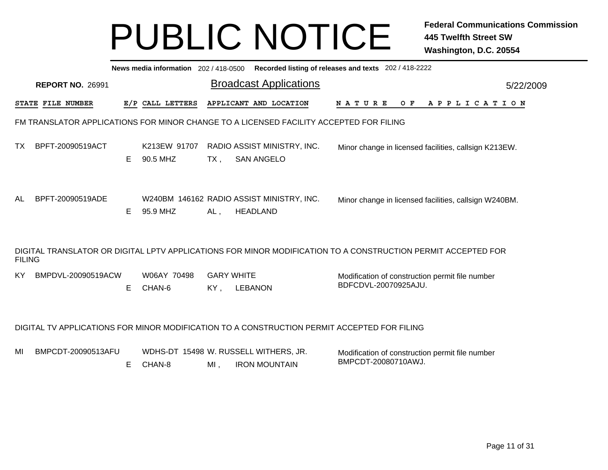|               | News media information 202 / 418-0500<br>Recorded listing of releases and texts 202 / 418-2222 |   |                          |                          |                                                                                             |                                                                                                              |           |  |  |  |  |  |  |  |
|---------------|------------------------------------------------------------------------------------------------|---|--------------------------|--------------------------|---------------------------------------------------------------------------------------------|--------------------------------------------------------------------------------------------------------------|-----------|--|--|--|--|--|--|--|
|               | <b>REPORT NO. 26991</b>                                                                        |   |                          |                          | <b>Broadcast Applications</b>                                                               |                                                                                                              | 5/22/2009 |  |  |  |  |  |  |  |
|               | <b>STATE FILE NUMBER</b>                                                                       |   | E/P CALL LETTERS         |                          | APPLICANT AND LOCATION                                                                      | N A T U R E<br>O F<br>A P P L I C A T I O N                                                                  |           |  |  |  |  |  |  |  |
|               |                                                                                                |   |                          |                          | FM TRANSLATOR APPLICATIONS FOR MINOR CHANGE TO A LICENSED FACILITY ACCEPTED FOR FILING      |                                                                                                              |           |  |  |  |  |  |  |  |
| ТX            | BPFT-20090519ACT                                                                               | E | K213EW 91707<br>90.5 MHZ | $TX$ ,                   | RADIO ASSIST MINISTRY, INC.<br><b>SAN ANGELO</b>                                            | Minor change in licensed facilities, callsign K213EW.                                                        |           |  |  |  |  |  |  |  |
| AL            | BPFT-20090519ADE                                                                               | Е | 95.9 MHZ                 | $AL$ ,                   | W240BM 146162 RADIO ASSIST MINISTRY, INC.<br><b>HEADLAND</b>                                | Minor change in licensed facilities, callsign W240BM.                                                        |           |  |  |  |  |  |  |  |
| <b>FILING</b> |                                                                                                |   |                          |                          |                                                                                             | DIGITAL TRANSLATOR OR DIGITAL LPTV APPLICATIONS FOR MINOR MODIFICATION TO A CONSTRUCTION PERMIT ACCEPTED FOR |           |  |  |  |  |  |  |  |
| ΚY            | BMPDVL-20090519ACW                                                                             | Е | W06AY 70498<br>CHAN-6    | <b>GARY WHITE</b><br>KY, | <b>LEBANON</b>                                                                              | Modification of construction permit file number<br>BDFCDVL-20070925AJU.                                      |           |  |  |  |  |  |  |  |
|               |                                                                                                |   |                          |                          | DIGITAL TV APPLICATIONS FOR MINOR MODIFICATION TO A CONSTRUCTION PERMIT ACCEPTED FOR FILING |                                                                                                              |           |  |  |  |  |  |  |  |
| MI            | BMPCDT-20090513AFU                                                                             | Е | CHAN-8                   | $MI$ ,                   | WDHS-DT 15498 W. RUSSELL WITHERS, JR.<br><b>IRON MOUNTAIN</b>                               | Modification of construction permit file number<br>BMPCDT-20080710AWJ.                                       |           |  |  |  |  |  |  |  |
|               |                                                                                                |   |                          |                          |                                                                                             |                                                                                                              |           |  |  |  |  |  |  |  |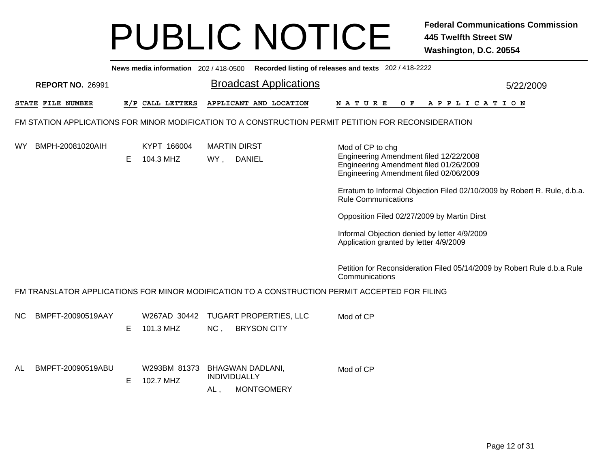|           |                   |                         |   | News media information 202 / 418-0500 Recorded listing of releases and texts 202 / 418-2222          |     |                                      |                                                     |                                                                                                                                                                                                                                                                                                                                                                                                   |  |  |  |                |           |  |
|-----------|-------------------|-------------------------|---|------------------------------------------------------------------------------------------------------|-----|--------------------------------------|-----------------------------------------------------|---------------------------------------------------------------------------------------------------------------------------------------------------------------------------------------------------------------------------------------------------------------------------------------------------------------------------------------------------------------------------------------------------|--|--|--|----------------|-----------|--|
|           |                   | <b>REPORT NO. 26991</b> |   |                                                                                                      |     |                                      | <b>Broadcast Applications</b>                       |                                                                                                                                                                                                                                                                                                                                                                                                   |  |  |  |                | 5/22/2009 |  |
|           | STATE FILE NUMBER |                         |   | E/P CALL LETTERS                                                                                     |     |                                      | APPLICANT AND LOCATION                              | <b>NATURE</b>                                                                                                                                                                                                                                                                                                                                                                                     |  |  |  | OF APPLICATION |           |  |
|           |                   |                         |   | FM STATION APPLICATIONS FOR MINOR MODIFICATION TO A CONSTRUCTION PERMIT PETITION FOR RECONSIDERATION |     |                                      |                                                     |                                                                                                                                                                                                                                                                                                                                                                                                   |  |  |  |                |           |  |
| WY.       |                   | BMPH-20081020AIH        | Е | KYPT 166004<br>104.3 MHZ                                                                             | WY, | <b>MARTIN DIRST</b><br><b>DANIEL</b> |                                                     | Mod of CP to chg<br>Engineering Amendment filed 12/22/2008<br>Engineering Amendment filed 01/26/2009<br>Engineering Amendment filed 02/06/2009<br>Erratum to Informal Objection Filed 02/10/2009 by Robert R. Rule, d.b.a.<br><b>Rule Communications</b><br>Opposition Filed 02/27/2009 by Martin Dirst<br>Informal Objection denied by letter 4/9/2009<br>Application granted by letter 4/9/2009 |  |  |  |                |           |  |
|           |                   |                         |   |                                                                                                      |     |                                      |                                                     | Petition for Reconsideration Filed 05/14/2009 by Robert Rule d.b.a Rule<br>Communications                                                                                                                                                                                                                                                                                                         |  |  |  |                |           |  |
|           |                   |                         |   | FM TRANSLATOR APPLICATIONS FOR MINOR MODIFICATION TO A CONSTRUCTION PERMIT ACCEPTED FOR FILING       |     |                                      |                                                     |                                                                                                                                                                                                                                                                                                                                                                                                   |  |  |  |                |           |  |
| NС        |                   | BMPFT-20090519AAY       | Е | W267AD 30442<br>101.3 MHZ                                                                            | NC, |                                      | <b>TUGART PROPERTIES, LLC</b><br><b>BRYSON CITY</b> | Mod of CP                                                                                                                                                                                                                                                                                                                                                                                         |  |  |  |                |           |  |
| <b>AL</b> |                   | BMPFT-20090519ABU       | Е | W293BM 81373<br>102.7 MHZ                                                                            | AL, | INDIVIDUALLY                         | <b>BHAGWAN DADLANI,</b><br><b>MONTGOMERY</b>        | Mod of CP                                                                                                                                                                                                                                                                                                                                                                                         |  |  |  |                |           |  |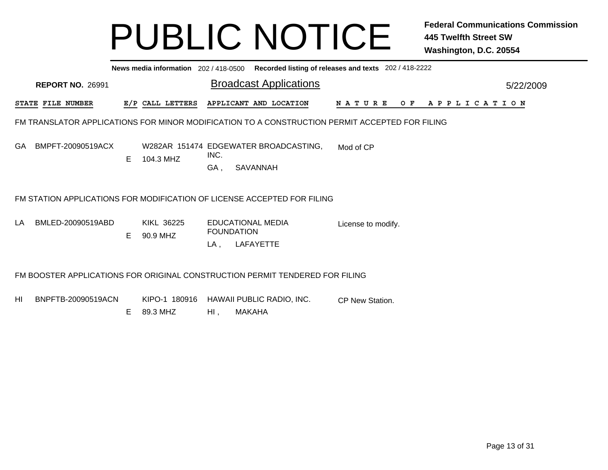|    |                                                                       |                      |    |                        |                          | News media information 202 / 418-0500 Recorded listing of releases and texts 202 / 418-2222    |                    |  |                |  |  |  |  |  |
|----|-----------------------------------------------------------------------|----------------------|----|------------------------|--------------------------|------------------------------------------------------------------------------------------------|--------------------|--|----------------|--|--|--|--|--|
|    | <b>Broadcast Applications</b><br><b>REPORT NO. 26991</b><br>5/22/2009 |                      |    |                        |                          |                                                                                                |                    |  |                |  |  |  |  |  |
|    | <b>STATE FILE NUMBER</b>                                              |                      |    | E/P CALL LETTERS       |                          | APPLICANT AND LOCATION                                                                         | N A T U R E        |  | OF APPLICATION |  |  |  |  |  |
|    |                                                                       |                      |    |                        |                          | FM TRANSLATOR APPLICATIONS FOR MINOR MODIFICATION TO A CONSTRUCTION PERMIT ACCEPTED FOR FILING |                    |  |                |  |  |  |  |  |
|    |                                                                       | GA BMPFT-20090519ACX | E. | 104.3 MHZ              | INC.<br>GA,              | W282AR 151474 EDGEWATER BROADCASTING,<br>SAVANNAH                                              | Mod of CP          |  |                |  |  |  |  |  |
|    |                                                                       |                      |    |                        |                          | FM STATION APPLICATIONS FOR MODIFICATION OF LICENSE ACCEPTED FOR FILING                        |                    |  |                |  |  |  |  |  |
| LA |                                                                       | BMLED-20090519ABD    | E. | KIKL 36225<br>90.9 MHZ | <b>FOUNDATION</b><br>LA, | <b>EDUCATIONAL MEDIA</b><br>LAFAYETTE                                                          | License to modify. |  |                |  |  |  |  |  |
|    |                                                                       |                      |    |                        |                          | FM BOOSTER APPLICATIONS FOR ORIGINAL CONSTRUCTION PERMIT TENDERED FOR FILING                   |                    |  |                |  |  |  |  |  |
| HI |                                                                       | BNPFTB-20090519ACN   | E. | 89.3 MHZ               | HI,                      | KIPO-1 180916 HAWAII PUBLIC RADIO, INC.<br><b>MAKAHA</b>                                       | CP New Station.    |  |                |  |  |  |  |  |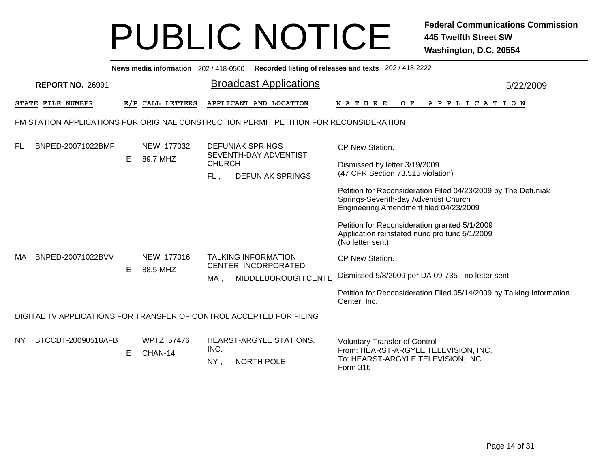|           |                                                                     |    |                              |               | News media information 202/418-0500 Recorded listing of releases and texts 202/418-2222 |                                                                                                                                                 |           |
|-----------|---------------------------------------------------------------------|----|------------------------------|---------------|-----------------------------------------------------------------------------------------|-------------------------------------------------------------------------------------------------------------------------------------------------|-----------|
|           | <b>REPORT NO. 26991</b>                                             |    |                              |               | <b>Broadcast Applications</b>                                                           |                                                                                                                                                 | 5/22/2009 |
|           | STATE FILE NUMBER                                                   |    | E/P CALL LETTERS             |               | APPLICANT AND LOCATION                                                                  | OF APPLICATION<br>N A T U R E                                                                                                                   |           |
|           |                                                                     |    |                              |               | FM STATION APPLICATIONS FOR ORIGINAL CONSTRUCTION PERMIT PETITION FOR RECONSIDERATION   |                                                                                                                                                 |           |
| FL        | BNPED-20071022BMF                                                   |    | NEW 177032                   |               | <b>DEFUNIAK SPRINGS</b><br>SEVENTH-DAY ADVENTIST                                        | CP New Station.                                                                                                                                 |           |
|           |                                                                     | E. | 89.7 MHZ                     | <b>CHURCH</b> |                                                                                         | Dismissed by letter 3/19/2009                                                                                                                   |           |
|           |                                                                     |    |                              | FL,           | <b>DEFUNIAK SPRINGS</b>                                                                 | (47 CFR Section 73.515 violation)                                                                                                               |           |
|           |                                                                     |    |                              |               |                                                                                         | Petition for Reconsideration Filed 04/23/2009 by The Defuniak<br>Springs-Seventh-day Adventist Church<br>Engineering Amendment filed 04/23/2009 |           |
|           |                                                                     |    |                              |               |                                                                                         | Petition for Reconsideration granted 5/1/2009<br>Application reinstated nunc pro tunc 5/1/2009<br>(No letter sent)                              |           |
| MA        | BNPED-20071022BVV                                                   |    | NEW 177016                   |               | <b>TALKING INFORMATION</b><br>CENTER, INCORPORATED                                      | CP New Station.                                                                                                                                 |           |
|           |                                                                     | E. | 88.5 MHZ                     | MA,           | MIDDLEBOROUGH CENTE                                                                     | Dismissed 5/8/2009 per DA 09-735 - no letter sent                                                                                               |           |
|           |                                                                     |    |                              |               |                                                                                         | Petition for Reconsideration Filed 05/14/2009 by Talking Information<br>Center, Inc.                                                            |           |
|           | DIGITAL TV APPLICATIONS FOR TRANSFER OF CONTROL ACCEPTED FOR FILING |    |                              |               |                                                                                         |                                                                                                                                                 |           |
| <b>NY</b> | BTCCDT-20090518AFB                                                  | E. | <b>WPTZ 57476</b><br>CHAN-14 | INC.          | HEARST-ARGYLE STATIONS,                                                                 | <b>Voluntary Transfer of Control</b><br>From: HEARST-ARGYLE TELEVISION, INC.                                                                    |           |
|           |                                                                     |    |                              | $NY$ ,        | <b>NORTH POLE</b>                                                                       | To: HEARST-ARGYLE TELEVISION, INC.<br>Form 316                                                                                                  |           |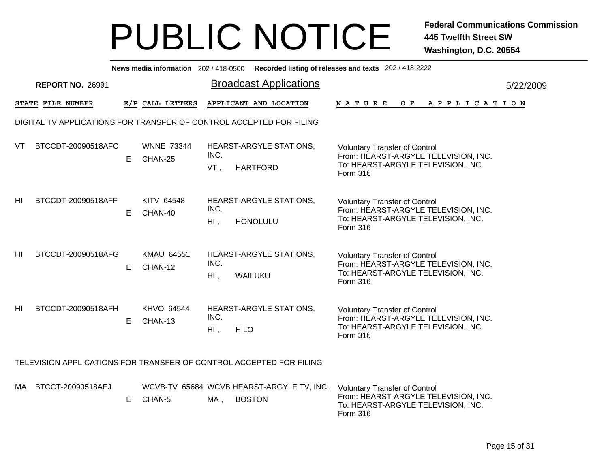|                 |                                                                     |    |                              |                | News media information 202/418-0500 Recorded listing of releases and texts 202/418-2222 |                                                                                                                                |           |
|-----------------|---------------------------------------------------------------------|----|------------------------------|----------------|-----------------------------------------------------------------------------------------|--------------------------------------------------------------------------------------------------------------------------------|-----------|
|                 | <b>REPORT NO. 26991</b>                                             |    |                              |                | <b>Broadcast Applications</b>                                                           |                                                                                                                                | 5/22/2009 |
|                 | STATE FILE NUMBER                                                   |    | E/P CALL LETTERS             |                | APPLICANT AND LOCATION                                                                  | <b>NATURE</b><br>O F<br>A P P L I C A T I O N                                                                                  |           |
|                 | DIGITAL TV APPLICATIONS FOR TRANSFER OF CONTROL ACCEPTED FOR FILING |    |                              |                |                                                                                         |                                                                                                                                |           |
| VT              | BTCCDT-20090518AFC                                                  | E. | <b>WNNE 73344</b><br>CHAN-25 | INC.<br>VT,    | HEARST-ARGYLE STATIONS,<br><b>HARTFORD</b>                                              | <b>Voluntary Transfer of Control</b><br>From: HEARST-ARGYLE TELEVISION, INC.<br>To: HEARST-ARGYLE TELEVISION, INC.<br>Form 316 |           |
| HI              | BTCCDT-20090518AFF                                                  | E. | KITV 64548<br>CHAN-40        | INC.<br>HI,    | HEARST-ARGYLE STATIONS,<br><b>HONOLULU</b>                                              | <b>Voluntary Transfer of Control</b><br>From: HEARST-ARGYLE TELEVISION, INC.<br>To: HEARST-ARGYLE TELEVISION, INC.<br>Form 316 |           |
| H <sub>II</sub> | BTCCDT-20090518AFG                                                  | E. | <b>KMAU 64551</b><br>CHAN-12 | INC.<br>$HI$ , | <b>HEARST-ARGYLE STATIONS,</b><br>WAILUKU                                               | <b>Voluntary Transfer of Control</b><br>From: HEARST-ARGYLE TELEVISION, INC.<br>To: HEARST-ARGYLE TELEVISION, INC.<br>Form 316 |           |
| HI              | BTCCDT-20090518AFH                                                  | E. | KHVO 64544<br>CHAN-13        | INC.<br>$HI$ , | HEARST-ARGYLE STATIONS,<br><b>HILO</b>                                                  | <b>Voluntary Transfer of Control</b><br>From: HEARST-ARGYLE TELEVISION, INC.<br>To: HEARST-ARGYLE TELEVISION, INC.<br>Form 316 |           |
|                 |                                                                     |    |                              |                | TELEVISION APPLICATIONS FOR TRANSFER OF CONTROL ACCEPTED FOR FILING                     |                                                                                                                                |           |
| MA.             | BTCCT-20090518AEJ                                                   | E. | CHAN-5                       | MA ,           | WCVB-TV 65684 WCVB HEARST-ARGYLE TV, INC.<br><b>BOSTON</b>                              | <b>Voluntary Transfer of Control</b><br>From: HEARST-ARGYLE TELEVISION, INC.<br>To: HEARST-ARGYLE TELEVISION, INC.             |           |

Form 316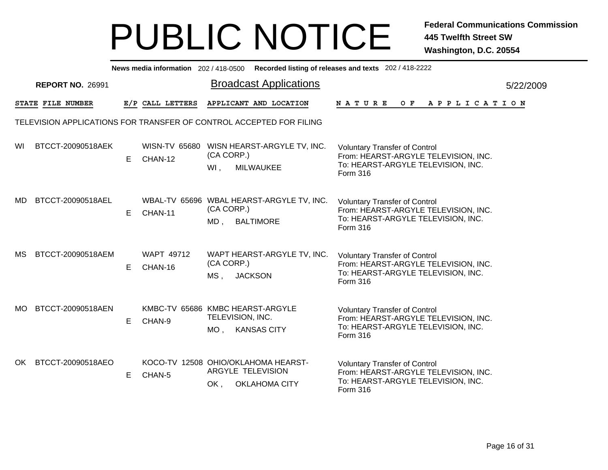|     |                         |    |                              | News media information 202/418-0500 Recorded listing of releases and texts 202/418-2222 |                                                                                                                                       |           |
|-----|-------------------------|----|------------------------------|-----------------------------------------------------------------------------------------|---------------------------------------------------------------------------------------------------------------------------------------|-----------|
|     | <b>REPORT NO. 26991</b> |    |                              | <b>Broadcast Applications</b>                                                           |                                                                                                                                       | 5/22/2009 |
|     | STATE FILE NUMBER       |    | E/P CALL LETTERS             | APPLICANT AND LOCATION                                                                  | N A T U R E<br>OF APPLICATION                                                                                                         |           |
|     |                         |    |                              | TELEVISION APPLICATIONS FOR TRANSFER OF CONTROL ACCEPTED FOR FILING                     |                                                                                                                                       |           |
| WI  | BTCCT-20090518AEK       | E  | CHAN-12                      | WISN-TV 65680 WISN HEARST-ARGYLE TV, INC.<br>(CA CORP.)<br>$WI$ ,<br><b>MILWAUKEE</b>   | <b>Voluntary Transfer of Control</b><br>From: HEARST-ARGYLE TELEVISION, INC.<br>To: HEARST-ARGYLE TELEVISION, INC.<br>Form 316        |           |
| MD. | BTCCT-20090518AEL       | E. | CHAN-11                      | WBAL-TV 65696 WBAL HEARST-ARGYLE TV, INC.<br>(CA CORP.)<br>MD, BALTIMORE                | <b>Voluntary Transfer of Control</b><br>From: HEARST-ARGYLE TELEVISION, INC.<br>To: HEARST-ARGYLE TELEVISION, INC.<br>Form 316        |           |
| MS. | BTCCT-20090518AEM       | E  | <b>WAPT 49712</b><br>CHAN-16 | WAPT HEARST-ARGYLE TV, INC.<br>(CA CORP.)<br><b>JACKSON</b><br>MS <sub>1</sub>          | <b>Voluntary Transfer of Control</b><br>From: HEARST-ARGYLE TELEVISION, INC.<br>To: HEARST-ARGYLE TELEVISION, INC.<br>Form 316        |           |
| MO. | BTCCT-20090518AEN       | E  | CHAN-9                       | KMBC-TV 65686 KMBC HEARST-ARGYLE<br>TELEVISION, INC.<br>MO, KANSAS CITY                 | <b>Voluntary Transfer of Control</b><br>From: HEARST-ARGYLE TELEVISION, INC.<br>To: HEARST-ARGYLE TELEVISION, INC.<br>Form 316        |           |
| OK. | BTCCT-20090518AEO       | Е  | CHAN-5                       | KOCO-TV 12508 OHIO/OKLAHOMA HEARST-<br>ARGYLE TELEVISION<br>OK,<br><b>OKLAHOMA CITY</b> | <b>Voluntary Transfer of Control</b><br>From: HEARST-ARGYLE TELEVISION, INC.<br>To: HEARST-ARGYLE TELEVISION, INC.<br><b>Form 316</b> |           |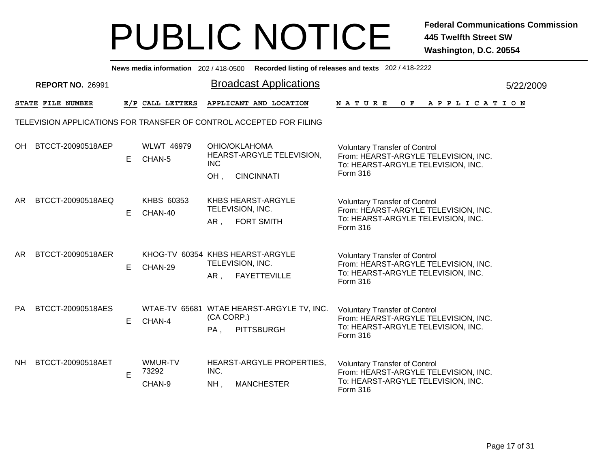|           |                                                                     |    |                                             |                                               |                                                                | News media information 202/418-0500 Recorded listing of releases and texts 202/418-2222                                        |           |
|-----------|---------------------------------------------------------------------|----|---------------------------------------------|-----------------------------------------------|----------------------------------------------------------------|--------------------------------------------------------------------------------------------------------------------------------|-----------|
|           | <b>REPORT NO. 26991</b>                                             |    |                                             |                                               | <b>Broadcast Applications</b>                                  |                                                                                                                                | 5/22/2009 |
|           | STATE FILE NUMBER                                                   |    | E/P CALL LETTERS                            |                                               | APPLICANT AND LOCATION                                         | NATURE<br>O F<br>A P P L I C A T I O N                                                                                         |           |
|           | TELEVISION APPLICATIONS FOR TRANSFER OF CONTROL ACCEPTED FOR FILING |    |                                             |                                               |                                                                |                                                                                                                                |           |
| OH.       | BTCCT-20090518AEP                                                   | E. | <b>WLWT 46979</b><br>CHAN-5                 | OHIO/OKLAHOMA<br><b>INC</b><br>OH,            | HEARST-ARGYLE TELEVISION,<br><b>CINCINNATI</b>                 | <b>Voluntary Transfer of Control</b><br>From: HEARST-ARGYLE TELEVISION, INC.<br>To: HEARST-ARGYLE TELEVISION, INC.<br>Form 316 |           |
| AR.       | BTCCT-20090518AEQ                                                   | E. | KHBS 60353<br>CHAN-40                       | KHBS HEARST-ARGYLE<br>TELEVISION, INC.<br>AR, | <b>FORT SMITH</b>                                              | <b>Voluntary Transfer of Control</b><br>From: HEARST-ARGYLE TELEVISION, INC.<br>To: HEARST-ARGYLE TELEVISION, INC.<br>Form 316 |           |
| AR.       | BTCCT-20090518AER                                                   | E. | KHOG-TV 60354 KHBS HEARST-ARGYLE<br>CHAN-29 | TELEVISION, INC.<br>AR,                       | <b>FAYETTEVILLE</b>                                            | <b>Voluntary Transfer of Control</b><br>From: HEARST-ARGYLE TELEVISION, INC.<br>To: HEARST-ARGYLE TELEVISION, INC.<br>Form 316 |           |
| <b>PA</b> | BTCCT-20090518AES                                                   | Е  | CHAN-4                                      | (CA CORP.)<br>PA,                             | WTAE-TV 65681 WTAE HEARST-ARGYLE TV, INC.<br><b>PITTSBURGH</b> | <b>Voluntary Transfer of Control</b><br>From: HEARST-ARGYLE TELEVISION, INC.<br>To: HEARST-ARGYLE TELEVISION, INC.<br>Form 316 |           |
| NH.       | BTCCT-20090518AET                                                   | E  | WMUR-TV<br>73292<br>CHAN-9                  | INC.<br>$NH$ ,                                | HEARST-ARGYLE PROPERTIES,<br><b>MANCHESTER</b>                 | <b>Voluntary Transfer of Control</b><br>From: HEARST-ARGYLE TELEVISION, INC.<br>To: HEARST-ARGYLE TELEVISION, INC.<br>Form 316 |           |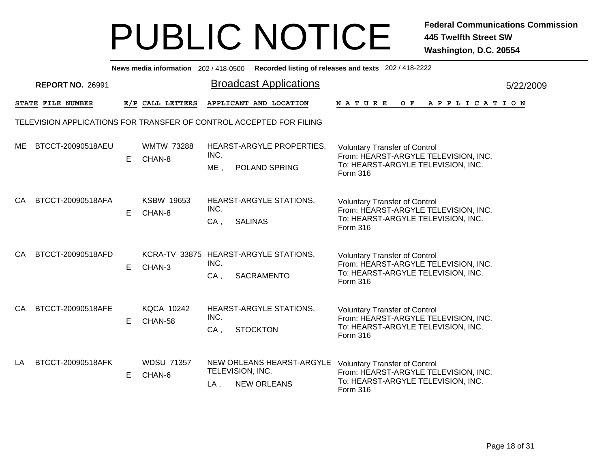|     |                         |    |                             |                | News media information 202/418-0500 Recorded listing of releases and texts 202/418-2222 |                                                                                                                                |           |
|-----|-------------------------|----|-----------------------------|----------------|-----------------------------------------------------------------------------------------|--------------------------------------------------------------------------------------------------------------------------------|-----------|
|     | <b>REPORT NO. 26991</b> |    |                             |                | <b>Broadcast Applications</b>                                                           |                                                                                                                                | 5/22/2009 |
|     | STATE FILE NUMBER       |    | E/P CALL LETTERS            |                | APPLICANT AND LOCATION                                                                  | NATURE<br>O F<br>A P P L I C A T I O N                                                                                         |           |
|     |                         |    |                             |                | TELEVISION APPLICATIONS FOR TRANSFER OF CONTROL ACCEPTED FOR FILING                     |                                                                                                                                |           |
| ME  | BTCCT-20090518AEU       | E. | <b>WMTW 73288</b><br>CHAN-8 | INC.<br>$ME$ , | HEARST-ARGYLE PROPERTIES.<br>POLAND SPRING                                              | <b>Voluntary Transfer of Control</b><br>From: HEARST-ARGYLE TELEVISION, INC.<br>To: HEARST-ARGYLE TELEVISION, INC.<br>Form 316 |           |
| CA  | BTCCT-20090518AFA       | Е  | <b>KSBW 19653</b><br>CHAN-8 | INC.<br>$CA$ , | HEARST-ARGYLE STATIONS,<br><b>SALINAS</b>                                               | <b>Voluntary Transfer of Control</b><br>From: HEARST-ARGYLE TELEVISION, INC.<br>To: HEARST-ARGYLE TELEVISION, INC.<br>Form 316 |           |
| CA  | BTCCT-20090518AFD       | Е  | CHAN-3                      | INC.<br>$CA$ , | KCRA-TV 33875 HEARST-ARGYLE STATIONS,<br>SACRAMENTO                                     | <b>Voluntary Transfer of Control</b><br>From: HEARST-ARGYLE TELEVISION, INC.<br>To: HEARST-ARGYLE TELEVISION, INC.<br>Form 316 |           |
| CA  | BTCCT-20090518AFE       | Е  | KQCA 10242<br>CHAN-58       | INC.<br>$CA$ , | <b>HEARST-ARGYLE STATIONS,</b><br><b>STOCKTON</b>                                       | <b>Voluntary Transfer of Control</b><br>From: HEARST-ARGYLE TELEVISION, INC.<br>To: HEARST-ARGYLE TELEVISION, INC.<br>Form 316 |           |
| LA. | BTCCT-20090518AFK       | E  | <b>WDSU 71357</b><br>CHAN-6 | $LA$ ,         | NEW ORLEANS HEARST-ARGYLE<br>TELEVISION, INC.<br><b>NEW ORLEANS</b>                     | <b>Voluntary Transfer of Control</b><br>From: HEARST-ARGYLE TELEVISION, INC.<br>To: HEARST-ARGYLE TELEVISION, INC.<br>Form 316 |           |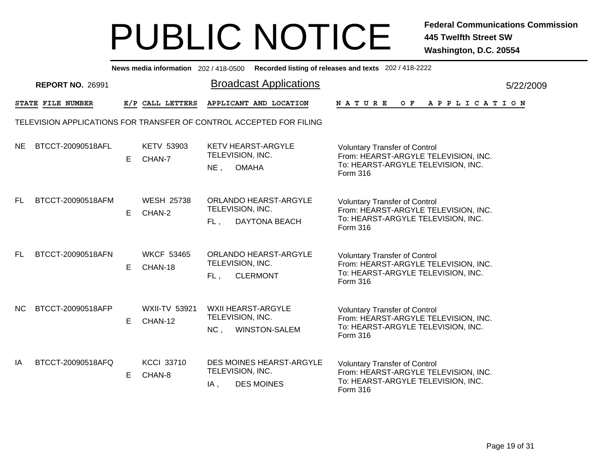|           |                                                                     |    |                                 |                         |                                                   | News media information 202/418-0500 Recorded listing of releases and texts 202/418-2222                                        |           |
|-----------|---------------------------------------------------------------------|----|---------------------------------|-------------------------|---------------------------------------------------|--------------------------------------------------------------------------------------------------------------------------------|-----------|
|           | <b>REPORT NO. 26991</b>                                             |    |                                 |                         | <b>Broadcast Applications</b>                     |                                                                                                                                | 5/22/2009 |
|           | STATE FILE NUMBER                                                   |    | E/P CALL LETTERS                |                         | APPLICANT AND LOCATION                            | NATURE<br>$O$ $\bf{F}$<br>A P P L I C A T I O N                                                                                |           |
|           | TELEVISION APPLICATIONS FOR TRANSFER OF CONTROL ACCEPTED FOR FILING |    |                                 |                         |                                                   |                                                                                                                                |           |
| <b>NE</b> | BTCCT-20090518AFL                                                   | E  | <b>KETV 53903</b><br>CHAN-7     | TELEVISION, INC.<br>NE, | <b>KETV HEARST-ARGYLE</b><br><b>OMAHA</b>         | <b>Voluntary Transfer of Control</b><br>From: HEARST-ARGYLE TELEVISION, INC.<br>To: HEARST-ARGYLE TELEVISION, INC.<br>Form 316 |           |
| FL.       | BTCCT-20090518AFM                                                   | E. | <b>WESH 25738</b><br>CHAN-2     | TELEVISION, INC.<br>FL, | ORLANDO HEARST-ARGYLE<br>DAYTONA BEACH            | <b>Voluntary Transfer of Control</b><br>From: HEARST-ARGYLE TELEVISION, INC.<br>To: HEARST-ARGYLE TELEVISION, INC.<br>Form 316 |           |
| FL.       | BTCCT-20090518AFN                                                   | E  | <b>WKCF 53465</b><br>CHAN-18    | TELEVISION, INC.<br>FL, | ORLANDO HEARST-ARGYLE<br><b>CLERMONT</b>          | <b>Voluntary Transfer of Control</b><br>From: HEARST-ARGYLE TELEVISION, INC.<br>To: HEARST-ARGYLE TELEVISION, INC.<br>Form 316 |           |
| <b>NC</b> | BTCCT-20090518AFP                                                   | E. | <b>WXII-TV 53921</b><br>CHAN-12 | TELEVISION, INC.<br>NC, | <b>WXII HEARST-ARGYLE</b><br><b>WINSTON-SALEM</b> | <b>Voluntary Transfer of Control</b><br>From: HEARST-ARGYLE TELEVISION, INC.<br>To: HEARST-ARGYLE TELEVISION, INC.<br>Form 316 |           |
| IA        | BTCCT-20090518AFQ                                                   | E. | <b>KCCI 33710</b><br>CHAN-8     | TELEVISION, INC.<br>IA, | DES MOINES HEARST-ARGYLE<br><b>DES MOINES</b>     | <b>Voluntary Transfer of Control</b><br>From: HEARST-ARGYLE TELEVISION, INC.<br>To: HEARST-ARGYLE TELEVISION, INC.<br>Form 316 |           |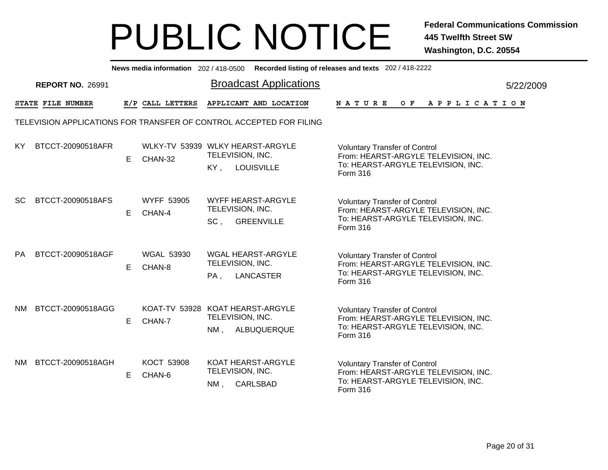|           |                                                                     |    |                                             |                                  |                                               | News media information 202 / 418-0500 Recorded listing of releases and texts 202 / 418-2222                                    |           |
|-----------|---------------------------------------------------------------------|----|---------------------------------------------|----------------------------------|-----------------------------------------------|--------------------------------------------------------------------------------------------------------------------------------|-----------|
|           | <b>REPORT NO. 26991</b>                                             |    |                                             |                                  | <b>Broadcast Applications</b>                 |                                                                                                                                | 5/22/2009 |
|           | STATE FILE NUMBER                                                   |    | E/P CALL LETTERS                            |                                  | APPLICANT AND LOCATION                        | $O$ $F$<br><b>NATURE</b><br>A P P L I C A T I O N                                                                              |           |
|           | TELEVISION APPLICATIONS FOR TRANSFER OF CONTROL ACCEPTED FOR FILING |    |                                             |                                  |                                               |                                                                                                                                |           |
| KY.       | BTCCT-20090518AFR                                                   | E. | WLKY-TV 53939 WLKY HEARST-ARGYLE<br>CHAN-32 | TELEVISION, INC.<br>KY,          | <b>LOUISVILLE</b>                             | <b>Voluntary Transfer of Control</b><br>From: HEARST-ARGYLE TELEVISION, INC.<br>To: HEARST-ARGYLE TELEVISION, INC.<br>Form 316 |           |
| SC.       | BTCCT-20090518AFS                                                   | E. | <b>WYFF 53905</b><br>CHAN-4                 | TELEVISION, INC.<br>$SC$ ,       | WYFF HEARST-ARGYLE<br><b>GREENVILLE</b>       | <b>Voluntary Transfer of Control</b><br>From: HEARST-ARGYLE TELEVISION, INC.<br>To: HEARST-ARGYLE TELEVISION, INC.<br>Form 316 |           |
| PA.       | BTCCT-20090518AGF                                                   | E. | <b>WGAL 53930</b><br>CHAN-8                 | TELEVISION, INC.<br>PA,          | <b>WGAL HEARST-ARGYLE</b><br><b>LANCASTER</b> | <b>Voluntary Transfer of Control</b><br>From: HEARST-ARGYLE TELEVISION, INC.<br>To: HEARST-ARGYLE TELEVISION, INC.<br>Form 316 |           |
| <b>NM</b> | BTCCT-20090518AGG                                                   | E. | KOAT-TV 53928 KOAT HEARST-ARGYLE<br>CHAN-7  | TELEVISION, INC.<br>$NM$ ,       | ALBUQUERQUE                                   | <b>Voluntary Transfer of Control</b><br>From: HEARST-ARGYLE TELEVISION, INC.<br>To: HEARST-ARGYLE TELEVISION, INC.<br>Form 316 |           |
| <b>NM</b> | BTCCT-20090518AGH                                                   | E. | KOCT 53908<br>CHAN-6                        | TELEVISION, INC.<br>NM, CARLSBAD | KOAT HEARST-ARGYLE                            | <b>Voluntary Transfer of Control</b><br>From: HEARST-ARGYLE TELEVISION, INC.<br>To: HEARST-ARGYLE TELEVISION, INC.<br>Form 316 |           |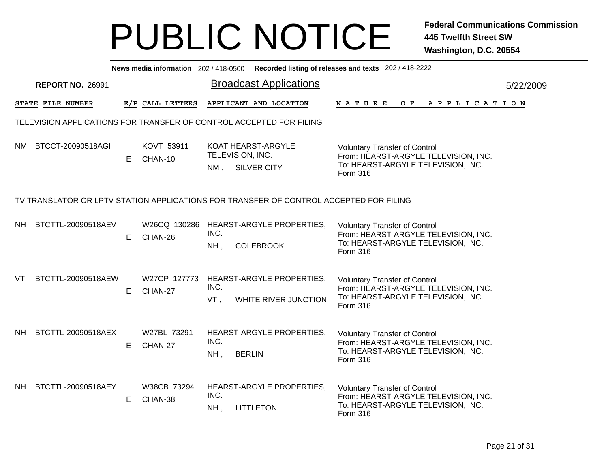|           |                                                                     |    | News media information 202/418-0500 |                | Recorded listing of releases and texts 202 / 418-2222                                  |                                                                                                                                       |  |     |  |  |                       |  |           |
|-----------|---------------------------------------------------------------------|----|-------------------------------------|----------------|----------------------------------------------------------------------------------------|---------------------------------------------------------------------------------------------------------------------------------------|--|-----|--|--|-----------------------|--|-----------|
|           | <b>REPORT NO. 26991</b>                                             |    |                                     |                | <b>Broadcast Applications</b>                                                          |                                                                                                                                       |  |     |  |  |                       |  | 5/22/2009 |
|           | STATE FILE NUMBER                                                   |    | E/P CALL LETTERS                    |                | APPLICANT AND LOCATION                                                                 | NATURE                                                                                                                                |  | O F |  |  | A P P L I C A T I O N |  |           |
|           | TELEVISION APPLICATIONS FOR TRANSFER OF CONTROL ACCEPTED FOR FILING |    |                                     |                |                                                                                        |                                                                                                                                       |  |     |  |  |                       |  |           |
| NM.       | BTCCT-20090518AGI                                                   | E. | KOVT 53911<br>CHAN-10               | $NM$ ,         | KOAT HEARST-ARGYLE<br>TELEVISION, INC.<br><b>SILVER CITY</b>                           | <b>Voluntary Transfer of Control</b><br>From: HEARST-ARGYLE TELEVISION, INC.<br>To: HEARST-ARGYLE TELEVISION, INC.<br>Form 316        |  |     |  |  |                       |  |           |
|           |                                                                     |    |                                     |                | TV TRANSLATOR OR LPTV STATION APPLICATIONS FOR TRANSFER OF CONTROL ACCEPTED FOR FILING |                                                                                                                                       |  |     |  |  |                       |  |           |
| NH.       | BTCTTL-20090518AEV                                                  | E. | CHAN-26                             | INC.<br>NH,    | W26CQ 130286 HEARST-ARGYLE PROPERTIES,<br><b>COLEBROOK</b>                             | <b>Voluntary Transfer of Control</b><br>From: HEARST-ARGYLE TELEVISION, INC.<br>To: HEARST-ARGYLE TELEVISION, INC.<br>Form 316        |  |     |  |  |                       |  |           |
| VT        | BTCTTL-20090518AEW                                                  | E. | W27CP 127773<br>CHAN-27             | INC.<br>VT.    | HEARST-ARGYLE PROPERTIES,<br>WHITE RIVER JUNCTION                                      | <b>Voluntary Transfer of Control</b><br>From: HEARST-ARGYLE TELEVISION, INC.<br>To: HEARST-ARGYLE TELEVISION, INC.<br><b>Form 316</b> |  |     |  |  |                       |  |           |
| <b>NH</b> | BTCTTL-20090518AEX                                                  | E. | W27BL 73291<br>CHAN-27              | INC.<br>NH,    | HEARST-ARGYLE PROPERTIES,<br><b>BERLIN</b>                                             | <b>Voluntary Transfer of Control</b><br>From: HEARST-ARGYLE TELEVISION, INC.<br>To: HEARST-ARGYLE TELEVISION, INC.<br><b>Form 316</b> |  |     |  |  |                       |  |           |
| <b>NH</b> | BTCTTL-20090518AEY                                                  | E. | W38CB 73294<br>CHAN-38              | INC.<br>$NH$ , | HEARST-ARGYLE PROPERTIES,<br><b>LITTLETON</b>                                          | <b>Voluntary Transfer of Control</b><br>From: HEARST-ARGYLE TELEVISION, INC.<br>To: HEARST-ARGYLE TELEVISION, INC.<br>Form 316        |  |     |  |  |                       |  |           |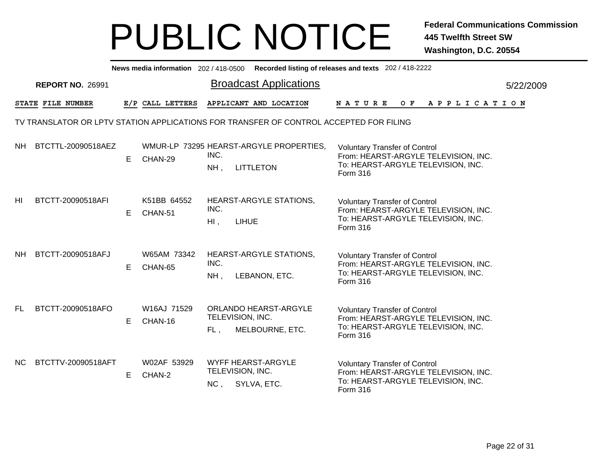|     |                         |    |                        |                | News media information 202/418-0500 Recorded listing of releases and texts 202/418-2222 |                                                                                                                                |  |                |  |  |  |           |
|-----|-------------------------|----|------------------------|----------------|-----------------------------------------------------------------------------------------|--------------------------------------------------------------------------------------------------------------------------------|--|----------------|--|--|--|-----------|
|     | <b>REPORT NO. 26991</b> |    |                        |                | <b>Broadcast Applications</b>                                                           |                                                                                                                                |  |                |  |  |  | 5/22/2009 |
|     | STATE FILE NUMBER       |    | E/P CALL LETTERS       |                | APPLICANT AND LOCATION                                                                  | <b>NATURE</b>                                                                                                                  |  | OF APPLICATION |  |  |  |           |
|     |                         |    |                        |                | TV TRANSLATOR OR LPTV STATION APPLICATIONS FOR TRANSFER OF CONTROL ACCEPTED FOR FILING  |                                                                                                                                |  |                |  |  |  |           |
| NH. | BTCTTL-20090518AEZ      | E. | CHAN-29                | INC.<br>NH,    | WMUR-LP 73295 HEARST-ARGYLE PROPERTIES,<br><b>LITTLETON</b>                             | <b>Voluntary Transfer of Control</b><br>From: HEARST-ARGYLE TELEVISION, INC.<br>To: HEARST-ARGYLE TELEVISION, INC.<br>Form 316 |  |                |  |  |  |           |
| HI. | BTCTT-20090518AFI       | E. | K51BB 64552<br>CHAN-51 | INC.<br>$HI$ , | HEARST-ARGYLE STATIONS,<br><b>LIHUE</b>                                                 | <b>Voluntary Transfer of Control</b><br>From: HEARST-ARGYLE TELEVISION, INC.<br>To: HEARST-ARGYLE TELEVISION, INC.<br>Form 316 |  |                |  |  |  |           |
| NH. | BTCTT-20090518AFJ       | E. | W65AM 73342<br>CHAN-65 | INC.<br>NH,    | <b>HEARST-ARGYLE STATIONS,</b><br>LEBANON, ETC.                                         | <b>Voluntary Transfer of Control</b><br>From: HEARST-ARGYLE TELEVISION, INC.<br>To: HEARST-ARGYLE TELEVISION, INC.<br>Form 316 |  |                |  |  |  |           |
| FL. | BTCTT-20090518AFO       | Е  | W16AJ 71529<br>CHAN-16 | $FL$ ,         | ORLANDO HEARST-ARGYLE<br>TELEVISION, INC.<br>MELBOURNE, ETC.                            | <b>Voluntary Transfer of Control</b><br>From: HEARST-ARGYLE TELEVISION, INC.<br>To: HEARST-ARGYLE TELEVISION, INC.<br>Form 316 |  |                |  |  |  |           |
| NC. | BTCTTV-20090518AFT      | E  | W02AF 53929<br>CHAN-2  | NC,            | <b>WYFF HEARST-ARGYLE</b><br>TELEVISION, INC.<br>SYLVA, ETC.                            | <b>Voluntary Transfer of Control</b><br>From: HEARST-ARGYLE TELEVISION, INC.<br>To: HEARST-ARGYLE TELEVISION, INC.<br>Form 316 |  |                |  |  |  |           |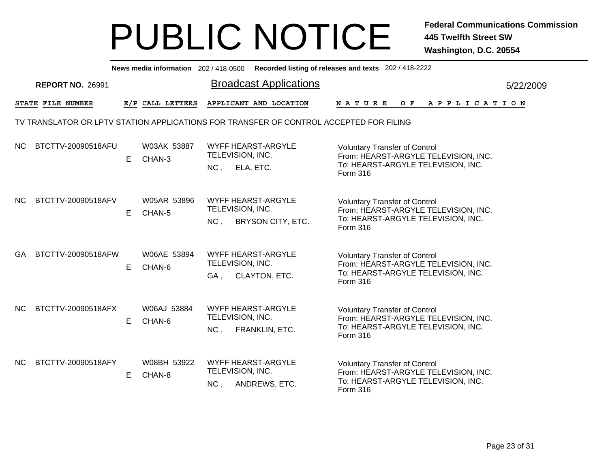|     |                         |    |                       | News media information 202/418-0500 Recorded listing of releases and texts 202/418-2222      |                                                                                                                                       |           |
|-----|-------------------------|----|-----------------------|----------------------------------------------------------------------------------------------|---------------------------------------------------------------------------------------------------------------------------------------|-----------|
|     | <b>REPORT NO. 26991</b> |    |                       | <b>Broadcast Applications</b>                                                                |                                                                                                                                       | 5/22/2009 |
|     | STATE FILE NUMBER       |    | E/P CALL LETTERS      | APPLICANT AND LOCATION                                                                       | OF APPLICATION<br>N A T U R E                                                                                                         |           |
|     |                         |    |                       | TV TRANSLATOR OR LPTV STATION APPLICATIONS FOR TRANSFER OF CONTROL ACCEPTED FOR FILING       |                                                                                                                                       |           |
| NC. | BTCTTV-20090518AFU      | E. | W03AK 53887<br>CHAN-3 | <b>WYFF HEARST-ARGYLE</b><br>TELEVISION, INC.<br>NC, ELA, ETC.                               | <b>Voluntary Transfer of Control</b><br>From: HEARST-ARGYLE TELEVISION, INC.<br>To: HEARST-ARGYLE TELEVISION, INC.<br><b>Form 316</b> |           |
| NC. | BTCTTV-20090518AFV      | E. | W05AR 53896<br>CHAN-5 | <b>WYFF HEARST-ARGYLE</b><br>TELEVISION, INC.<br><b>BRYSON CITY, ETC.</b><br>NC <sub>1</sub> | <b>Voluntary Transfer of Control</b><br>From: HEARST-ARGYLE TELEVISION, INC.<br>To: HEARST-ARGYLE TELEVISION, INC.<br>Form 316        |           |
| GA. | BTCTTV-20090518AFW      | E. | W06AE 53894<br>CHAN-6 | <b>WYFF HEARST-ARGYLE</b><br>TELEVISION, INC.<br>CLAYTON, ETC.<br>GA.                        | <b>Voluntary Transfer of Control</b><br>From: HEARST-ARGYLE TELEVISION, INC.<br>To: HEARST-ARGYLE TELEVISION, INC.<br>Form 316        |           |
| NC. | BTCTTV-20090518AFX      | E. | W06AJ 53884<br>CHAN-6 | <b>WYFF HEARST-ARGYLE</b><br>TELEVISION, INC.<br>NC,<br>FRANKLIN, ETC.                       | <b>Voluntary Transfer of Control</b><br>From: HEARST-ARGYLE TELEVISION, INC.<br>To: HEARST-ARGYLE TELEVISION, INC.<br>Form 316        |           |
| NC. | BTCTTV-20090518AFY      | E. | W08BH 53922<br>CHAN-8 | <b>WYFF HEARST-ARGYLE</b><br>TELEVISION, INC.<br>ANDREWS, ETC.<br>NC,                        | <b>Voluntary Transfer of Control</b><br>From: HEARST-ARGYLE TELEVISION, INC.<br>To: HEARST-ARGYLE TELEVISION, INC.<br>Form 316        |           |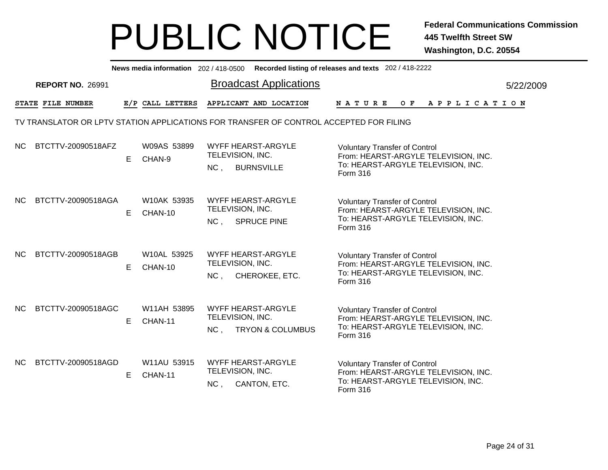|           |                                                                                        |    |                        |                                     | News media information 202/418-0500 Recorded listing of releases and texts 202/418-2222 |             |  |                                                                                                                    |  |  |                |
|-----------|----------------------------------------------------------------------------------------|----|------------------------|-------------------------------------|-----------------------------------------------------------------------------------------|-------------|--|--------------------------------------------------------------------------------------------------------------------|--|--|----------------|
|           | <b>REPORT NO. 26991</b>                                                                |    |                        |                                     | <b>Broadcast Applications</b>                                                           |             |  |                                                                                                                    |  |  | 5/22/2009      |
|           | STATE FILE NUMBER                                                                      |    | E/P CALL LETTERS       |                                     | APPLICANT AND LOCATION                                                                  | N A T U R E |  |                                                                                                                    |  |  | OF APPLICATION |
|           | TV TRANSLATOR OR LPTV STATION APPLICATIONS FOR TRANSFER OF CONTROL ACCEPTED FOR FILING |    |                        |                                     |                                                                                         |             |  |                                                                                                                    |  |  |                |
| NC.       | BTCTTV-20090518AFZ                                                                     | E. | W09AS 53899<br>CHAN-9  | TELEVISION, INC.<br>NC,             | <b>WYFF HEARST-ARGYLE</b><br><b>BURNSVILLE</b>                                          | Form 316    |  | <b>Voluntary Transfer of Control</b><br>From: HEARST-ARGYLE TELEVISION, INC.<br>To: HEARST-ARGYLE TELEVISION, INC. |  |  |                |
| <b>NC</b> | BTCTTV-20090518AGA                                                                     | E. | W10AK 53935<br>CHAN-10 | TELEVISION, INC.<br>NC <sub>1</sub> | <b>WYFF HEARST-ARGYLE</b><br><b>SPRUCE PINE</b>                                         | Form 316    |  | <b>Voluntary Transfer of Control</b><br>From: HEARST-ARGYLE TELEVISION, INC.<br>To: HEARST-ARGYLE TELEVISION, INC. |  |  |                |
| NC.       | BTCTTV-20090518AGB                                                                     | E. | W10AL 53925<br>CHAN-10 | TELEVISION, INC.<br>NC,             | WYFF HEARST-ARGYLE<br>CHEROKEE, ETC.                                                    | Form 316    |  | <b>Voluntary Transfer of Control</b><br>From: HEARST-ARGYLE TELEVISION, INC.<br>To: HEARST-ARGYLE TELEVISION, INC. |  |  |                |
| NC.       | BTCTTV-20090518AGC                                                                     | E. | W11AH 53895<br>CHAN-11 | TELEVISION, INC.<br>NC,             | <b>WYFF HEARST-ARGYLE</b><br><b>TRYON &amp; COLUMBUS</b>                                | Form 316    |  | <b>Voluntary Transfer of Control</b><br>From: HEARST-ARGYLE TELEVISION, INC.<br>To: HEARST-ARGYLE TELEVISION, INC. |  |  |                |
| NC        | BTCTTV-20090518AGD                                                                     | E  | W11AU 53915<br>CHAN-11 | TELEVISION, INC.<br>NC,             | WYFF HEARST-ARGYLE<br>CANTON, ETC.                                                      | Form 316    |  | <b>Voluntary Transfer of Control</b><br>From: HEARST-ARGYLE TELEVISION, INC.<br>To: HEARST-ARGYLE TELEVISION, INC. |  |  |                |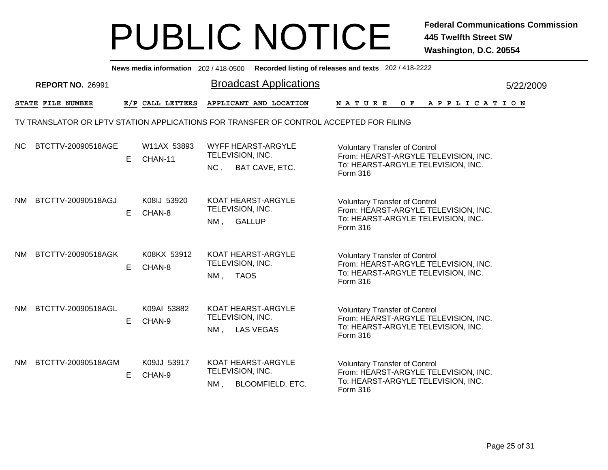|      | News media information 202/418-0500 Recorded listing of releases and texts 202/418-2222 |    |                        |                                                                                        |                                                                                                                                |           |  |  |  |  |  |  |  |
|------|-----------------------------------------------------------------------------------------|----|------------------------|----------------------------------------------------------------------------------------|--------------------------------------------------------------------------------------------------------------------------------|-----------|--|--|--|--|--|--|--|
|      | <b>REPORT NO. 26991</b>                                                                 |    |                        | <b>Broadcast Applications</b>                                                          |                                                                                                                                | 5/22/2009 |  |  |  |  |  |  |  |
|      | STATE FILE NUMBER                                                                       |    | E/P CALL LETTERS       | APPLICANT AND LOCATION                                                                 | N A T U R E<br>OF APPLICATION                                                                                                  |           |  |  |  |  |  |  |  |
|      |                                                                                         |    |                        | TV TRANSLATOR OR LPTV STATION APPLICATIONS FOR TRANSFER OF CONTROL ACCEPTED FOR FILING |                                                                                                                                |           |  |  |  |  |  |  |  |
| NC.  | BTCTTV-20090518AGE                                                                      | E. | W11AX 53893<br>CHAN-11 | WYFF HEARST-ARGYLE<br>TELEVISION, INC.<br>NC,<br>BAT CAVE, ETC.                        | <b>Voluntary Transfer of Control</b><br>From: HEARST-ARGYLE TELEVISION, INC.<br>To: HEARST-ARGYLE TELEVISION, INC.<br>Form 316 |           |  |  |  |  |  |  |  |
| NM   | BTCTTV-20090518AGJ                                                                      | E  | K08IJ 53920<br>CHAN-8  | KOAT HEARST-ARGYLE<br>TELEVISION, INC.<br>NM, GALLUP                                   | <b>Voluntary Transfer of Control</b><br>From: HEARST-ARGYLE TELEVISION, INC.<br>To: HEARST-ARGYLE TELEVISION, INC.<br>Form 316 |           |  |  |  |  |  |  |  |
| NM.  | BTCTTV-20090518AGK                                                                      | E. | K08KX 53912<br>CHAN-8  | KOAT HEARST-ARGYLE<br>TELEVISION, INC.<br><b>TAOS</b><br>NM,                           | <b>Voluntary Transfer of Control</b><br>From: HEARST-ARGYLE TELEVISION, INC.<br>To: HEARST-ARGYLE TELEVISION, INC.<br>Form 316 |           |  |  |  |  |  |  |  |
| NM - | BTCTTV-20090518AGL                                                                      | E. | K09AI 53882<br>CHAN-9  | KOAT HEARST-ARGYLE<br>TELEVISION, INC.<br><b>LAS VEGAS</b><br>$NM$ ,                   | <b>Voluntary Transfer of Control</b><br>From: HEARST-ARGYLE TELEVISION, INC.<br>To: HEARST-ARGYLE TELEVISION, INC.<br>Form 316 |           |  |  |  |  |  |  |  |
| NM . | BTCTTV-20090518AGM                                                                      | E  | K09JJ 53917<br>CHAN-9  | KOAT HEARST-ARGYLE<br>TELEVISION, INC.<br><b>BLOOMFIELD, ETC.</b><br>NM,               | <b>Voluntary Transfer of Control</b><br>From: HEARST-ARGYLE TELEVISION, INC.<br>To: HEARST-ARGYLE TELEVISION, INC.<br>Form 316 |           |  |  |  |  |  |  |  |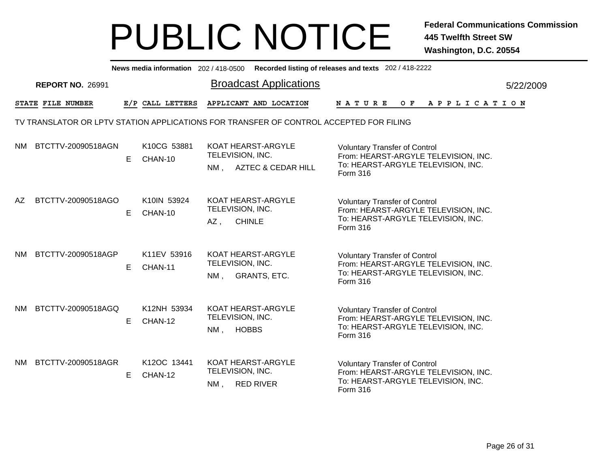|      | News media information 202/418-0500 Recorded listing of releases and texts 202/418-2222 |    |                        |                                                                                                                                                                                                                  |  |           |  |  |  |  |  |  |
|------|-----------------------------------------------------------------------------------------|----|------------------------|------------------------------------------------------------------------------------------------------------------------------------------------------------------------------------------------------------------|--|-----------|--|--|--|--|--|--|
|      | <b>REPORT NO. 26991</b>                                                                 |    |                        | <b>Broadcast Applications</b>                                                                                                                                                                                    |  | 5/22/2009 |  |  |  |  |  |  |
|      | STATE FILE NUMBER                                                                       |    | E/P CALL LETTERS       | APPLICANT AND LOCATION<br>OF APPLICATION<br>N A T U R E                                                                                                                                                          |  |           |  |  |  |  |  |  |
|      |                                                                                         |    |                        | TV TRANSLATOR OR LPTV STATION APPLICATIONS FOR TRANSFER OF CONTROL ACCEPTED FOR FILING                                                                                                                           |  |           |  |  |  |  |  |  |
| NM.  | BTCTTV-20090518AGN                                                                      | E  | K10CG 53881<br>CHAN-10 | <b>KOAT HEARST-ARGYLE</b><br><b>Voluntary Transfer of Control</b><br>TELEVISION, INC.<br>From: HEARST-ARGYLE TELEVISION, INC.<br>To: HEARST-ARGYLE TELEVISION, INC.<br>NM, AZTEC & CEDAR HILL<br><b>Form 316</b> |  |           |  |  |  |  |  |  |
| AZ.  | BTCTTV-20090518AGO                                                                      | E. | K10IN 53924<br>CHAN-10 | KOAT HEARST-ARGYLE<br><b>Voluntary Transfer of Control</b><br>TELEVISION, INC.<br>From: HEARST-ARGYLE TELEVISION, INC.<br>To: HEARST-ARGYLE TELEVISION, INC.<br>$AZ$ ,<br><b>CHINLE</b><br>Form 316              |  |           |  |  |  |  |  |  |
| NM.  | BTCTTV-20090518AGP                                                                      | E. | K11EV 53916<br>CHAN-11 | KOAT HEARST-ARGYLE<br><b>Voluntary Transfer of Control</b><br>TELEVISION, INC.<br>From: HEARST-ARGYLE TELEVISION, INC.<br>To: HEARST-ARGYLE TELEVISION, INC.<br><b>GRANTS, ETC.</b><br>NM.<br>Form 316           |  |           |  |  |  |  |  |  |
| NM - | BTCTTV-20090518AGQ                                                                      | E. | K12NH 53934<br>CHAN-12 | KOAT HEARST-ARGYLE<br><b>Voluntary Transfer of Control</b><br>TELEVISION, INC.<br>From: HEARST-ARGYLE TELEVISION, INC.<br>To: HEARST-ARGYLE TELEVISION, INC.<br><b>HOBBS</b><br>NM,<br>Form 316                  |  |           |  |  |  |  |  |  |
| NM.  | BTCTTV-20090518AGR                                                                      | E. | K12OC 13441<br>CHAN-12 | KOAT HEARST-ARGYLE<br><b>Voluntary Transfer of Control</b><br>TELEVISION, INC.<br>From: HEARST-ARGYLE TELEVISION, INC.<br>To: HEARST-ARGYLE TELEVISION, INC.<br>NM, RED RIVER<br>Form 316                        |  |           |  |  |  |  |  |  |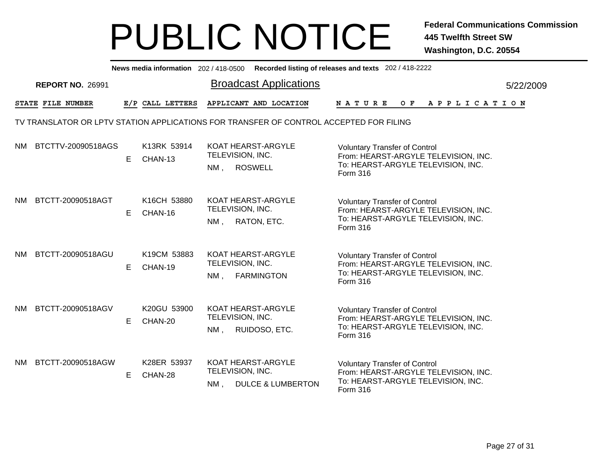|      | News media information 202/418-0500 Recorded listing of releases and texts 202/418-2222 |    |                        |                                                                                        |                                                                                                                                |           |  |  |  |  |  |  |
|------|-----------------------------------------------------------------------------------------|----|------------------------|----------------------------------------------------------------------------------------|--------------------------------------------------------------------------------------------------------------------------------|-----------|--|--|--|--|--|--|
|      | <b>REPORT NO. 26991</b>                                                                 |    |                        | <b>Broadcast Applications</b>                                                          |                                                                                                                                | 5/22/2009 |  |  |  |  |  |  |
|      | STATE FILE NUMBER                                                                       |    | E/P CALL LETTERS       | APPLICANT AND LOCATION                                                                 | N A T U R E<br>OF APPLICATION                                                                                                  |           |  |  |  |  |  |  |
|      |                                                                                         |    |                        | TV TRANSLATOR OR LPTV STATION APPLICATIONS FOR TRANSFER OF CONTROL ACCEPTED FOR FILING |                                                                                                                                |           |  |  |  |  |  |  |
| NM.  | BTCTTV-20090518AGS                                                                      | E  | K13RK 53914<br>CHAN-13 | KOAT HEARST-ARGYLE<br>TELEVISION, INC.<br>NM, ROSWELL                                  | <b>Voluntary Transfer of Control</b><br>From: HEARST-ARGYLE TELEVISION, INC.<br>To: HEARST-ARGYLE TELEVISION, INC.<br>Form 316 |           |  |  |  |  |  |  |
| NM.  | BTCTT-20090518AGT                                                                       | E  | K16CH 53880<br>CHAN-16 | <b>KOAT HEARST-ARGYLE</b><br>TELEVISION, INC.<br>NM, RATON, ETC.                       | <b>Voluntary Transfer of Control</b><br>From: HEARST-ARGYLE TELEVISION, INC.<br>To: HEARST-ARGYLE TELEVISION, INC.<br>Form 316 |           |  |  |  |  |  |  |
| NM.  | BTCTT-20090518AGU                                                                       | E. | K19CM 53883<br>CHAN-19 | KOAT HEARST-ARGYLE<br>TELEVISION, INC.<br><b>FARMINGTON</b><br>NM,                     | <b>Voluntary Transfer of Control</b><br>From: HEARST-ARGYLE TELEVISION, INC.<br>To: HEARST-ARGYLE TELEVISION, INC.<br>Form 316 |           |  |  |  |  |  |  |
| NM . | BTCTT-20090518AGV                                                                       | E. | K20GU 53900<br>CHAN-20 | KOAT HEARST-ARGYLE<br>TELEVISION, INC.<br>RUIDOSO, ETC.<br>$NM$ ,                      | <b>Voluntary Transfer of Control</b><br>From: HEARST-ARGYLE TELEVISION, INC.<br>To: HEARST-ARGYLE TELEVISION, INC.<br>Form 316 |           |  |  |  |  |  |  |
| NM . | BTCTT-20090518AGW                                                                       | E. | K28ER 53937<br>CHAN-28 | KOAT HEARST-ARGYLE<br>TELEVISION, INC.<br><b>DULCE &amp; LUMBERTON</b><br>NM,          | <b>Voluntary Transfer of Control</b><br>From: HEARST-ARGYLE TELEVISION, INC.<br>To: HEARST-ARGYLE TELEVISION, INC.<br>Form 316 |           |  |  |  |  |  |  |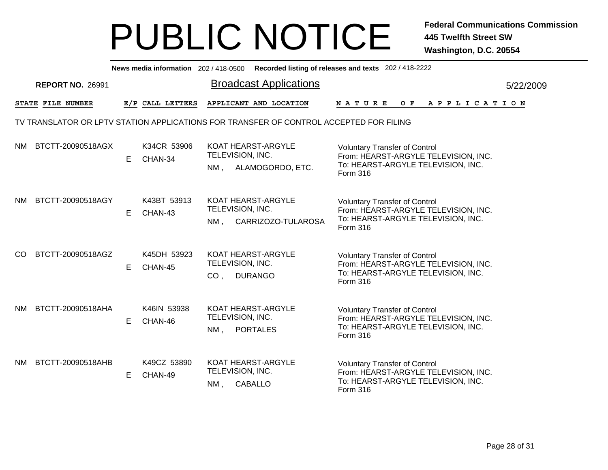|     | News media information 202/418-0500 Recorded listing of releases and texts 202/418-2222 |    |                        |                                     |                                              |                                                                                                                                |           |  |  |  |  |  |
|-----|-----------------------------------------------------------------------------------------|----|------------------------|-------------------------------------|----------------------------------------------|--------------------------------------------------------------------------------------------------------------------------------|-----------|--|--|--|--|--|
|     | <b>REPORT NO. 26991</b>                                                                 |    |                        |                                     | <b>Broadcast Applications</b>                |                                                                                                                                | 5/22/2009 |  |  |  |  |  |
|     | STATE FILE NUMBER                                                                       |    | E/P CALL LETTERS       |                                     | APPLICANT AND LOCATION                       | <b>NATURE</b><br>OF APPLICATION                                                                                                |           |  |  |  |  |  |
|     | TV TRANSLATOR OR LPTV STATION APPLICATIONS FOR TRANSFER OF CONTROL ACCEPTED FOR FILING  |    |                        |                                     |                                              |                                                                                                                                |           |  |  |  |  |  |
| NM. | BTCTT-20090518AGX                                                                       | E. | K34CR 53906<br>CHAN-34 | TELEVISION, INC.                    | KOAT HEARST-ARGYLE<br>NM, ALAMOGORDO, ETC.   | <b>Voluntary Transfer of Control</b><br>From: HEARST-ARGYLE TELEVISION, INC.<br>To: HEARST-ARGYLE TELEVISION, INC.<br>Form 316 |           |  |  |  |  |  |
| NM. | BTCTT-20090518AGY                                                                       | E. | K43BT 53913<br>CHAN-43 | TELEVISION, INC.<br>NM .            | KOAT HEARST-ARGYLE<br>CARRIZOZO-TULAROSA     | <b>Voluntary Transfer of Control</b><br>From: HEARST-ARGYLE TELEVISION, INC.<br>To: HEARST-ARGYLE TELEVISION, INC.<br>Form 316 |           |  |  |  |  |  |
| CO. | BTCTT-20090518AGZ                                                                       | E. | K45DH 53923<br>CHAN-45 | TELEVISION, INC.<br>CO <sub>1</sub> | KOAT HEARST-ARGYLE<br><b>DURANGO</b>         | <b>Voluntary Transfer of Control</b><br>From: HEARST-ARGYLE TELEVISION, INC.<br>To: HEARST-ARGYLE TELEVISION, INC.<br>Form 316 |           |  |  |  |  |  |
| NM. | BTCTT-20090518AHA                                                                       | E. | K46IN 53938<br>CHAN-46 | TELEVISION, INC.<br>$NM$ ,          | <b>KOAT HEARST-ARGYLE</b><br><b>PORTALES</b> | <b>Voluntary Transfer of Control</b><br>From: HEARST-ARGYLE TELEVISION, INC.<br>To: HEARST-ARGYLE TELEVISION, INC.<br>Form 316 |           |  |  |  |  |  |
| NM. | BTCTT-20090518AHB                                                                       | E. | K49CZ 53890<br>CHAN-49 | TELEVISION, INC.<br>NM,             | KOAT HEARST-ARGYLE<br><b>CABALLO</b>         | <b>Voluntary Transfer of Control</b><br>From: HEARST-ARGYLE TELEVISION, INC.<br>To: HEARST-ARGYLE TELEVISION, INC.<br>Form 316 |           |  |  |  |  |  |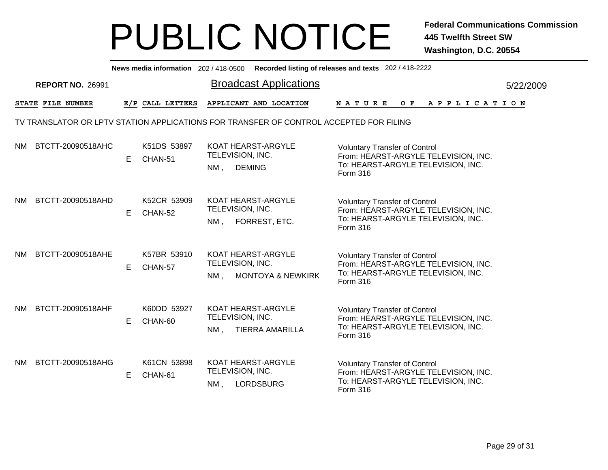|     | News media information 202/418-0500 Recorded listing of releases and texts 202/418-2222 |    |                        |                            |                                                    |               |  |  |                                                                                                                    |  |  |  |  |                       |
|-----|-----------------------------------------------------------------------------------------|----|------------------------|----------------------------|----------------------------------------------------|---------------|--|--|--------------------------------------------------------------------------------------------------------------------|--|--|--|--|-----------------------|
|     | <b>REPORT NO. 26991</b>                                                                 |    |                        |                            | <b>Broadcast Applications</b>                      |               |  |  |                                                                                                                    |  |  |  |  | 5/22/2009             |
|     | STATE FILE NUMBER                                                                       |    | E/P CALL LETTERS       |                            | APPLICANT AND LOCATION                             | <b>NATURE</b> |  |  | O F                                                                                                                |  |  |  |  | A P P L I C A T I O N |
|     | TV TRANSLATOR OR LPTV STATION APPLICATIONS FOR TRANSFER OF CONTROL ACCEPTED FOR FILING  |    |                        |                            |                                                    |               |  |  |                                                                                                                    |  |  |  |  |                       |
| NM. | BTCTT-20090518AHC                                                                       | E. | K51DS 53897<br>CHAN-51 | TELEVISION, INC.<br>$NM$ , | KOAT HEARST-ARGYLE<br><b>DEMING</b>                | Form 316      |  |  | <b>Voluntary Transfer of Control</b><br>From: HEARST-ARGYLE TELEVISION, INC.<br>To: HEARST-ARGYLE TELEVISION, INC. |  |  |  |  |                       |
| NM. | BTCTT-20090518AHD                                                                       | E. | K52CR 53909<br>CHAN-52 | TELEVISION, INC.<br>NM.    | KOAT HEARST-ARGYLE<br>FORREST, ETC.                | Form 316      |  |  | <b>Voluntary Transfer of Control</b><br>From: HEARST-ARGYLE TELEVISION, INC.<br>To: HEARST-ARGYLE TELEVISION, INC. |  |  |  |  |                       |
| NM. | BTCTT-20090518AHE                                                                       | E  | K57BR 53910<br>CHAN-57 | TELEVISION, INC.<br>$NM$ , | KOAT HEARST-ARGYLE<br><b>MONTOYA &amp; NEWKIRK</b> | Form 316      |  |  | <b>Voluntary Transfer of Control</b><br>From: HEARST-ARGYLE TELEVISION, INC.<br>To: HEARST-ARGYLE TELEVISION, INC. |  |  |  |  |                       |
| NM. | BTCTT-20090518AHF                                                                       | E. | K60DD 53927<br>CHAN-60 | TELEVISION, INC.<br>$NM$ , | KOAT HEARST-ARGYLE<br><b>TIERRA AMARILLA</b>       | Form 316      |  |  | <b>Voluntary Transfer of Control</b><br>From: HEARST-ARGYLE TELEVISION, INC.<br>To: HEARST-ARGYLE TELEVISION, INC. |  |  |  |  |                       |
| NM. | BTCTT-20090518AHG                                                                       | E. | K61CN 53898<br>CHAN-61 | TELEVISION, INC.<br>$NM$ , | KOAT HEARST-ARGYLE<br><b>LORDSBURG</b>             | Form 316      |  |  | <b>Voluntary Transfer of Control</b><br>From: HEARST-ARGYLE TELEVISION, INC.<br>To: HEARST-ARGYLE TELEVISION, INC. |  |  |  |  |                       |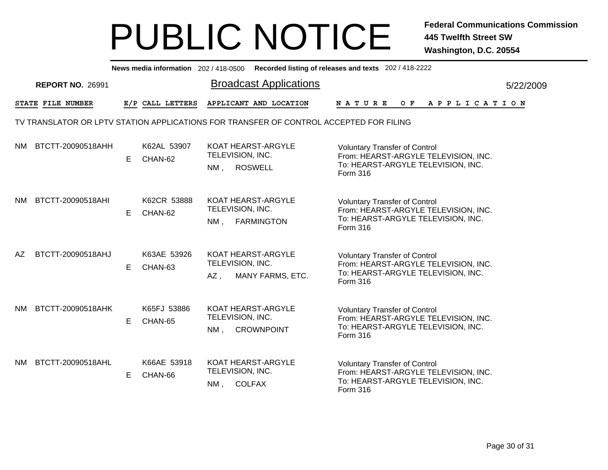|     | News media information 202/418-0500 Recorded listing of releases and texts 202/418-2222 |    |                        |                                |                                               |               |  |  |                                                                                                                    |  |  |  |  |                |
|-----|-----------------------------------------------------------------------------------------|----|------------------------|--------------------------------|-----------------------------------------------|---------------|--|--|--------------------------------------------------------------------------------------------------------------------|--|--|--|--|----------------|
|     | <b>REPORT NO. 26991</b>                                                                 |    |                        |                                | <b>Broadcast Applications</b>                 |               |  |  |                                                                                                                    |  |  |  |  | 5/22/2009      |
|     | STATE FILE NUMBER                                                                       |    | E/P CALL LETTERS       |                                | APPLICANT AND LOCATION                        | <b>NATURE</b> |  |  |                                                                                                                    |  |  |  |  | OF APPLICATION |
|     | TV TRANSLATOR OR LPTV STATION APPLICATIONS FOR TRANSFER OF CONTROL ACCEPTED FOR FILING  |    |                        |                                |                                               |               |  |  |                                                                                                                    |  |  |  |  |                |
| NM. | BTCTT-20090518AHH                                                                       | E. | K62AL 53907<br>CHAN-62 | TELEVISION, INC.<br>$NM$ ,     | <b>KOAT HEARST-ARGYLE</b><br><b>ROSWELL</b>   | Form 316      |  |  | <b>Voluntary Transfer of Control</b><br>From: HEARST-ARGYLE TELEVISION, INC.<br>To: HEARST-ARGYLE TELEVISION, INC. |  |  |  |  |                |
| NM. | BTCTT-20090518AHI                                                                       | E. | K62CR 53888<br>CHAN-62 | TELEVISION, INC.<br>NM .       | KOAT HEARST-ARGYLE<br><b>FARMINGTON</b>       | Form 316      |  |  | <b>Voluntary Transfer of Control</b><br>From: HEARST-ARGYLE TELEVISION, INC.<br>To: HEARST-ARGYLE TELEVISION, INC. |  |  |  |  |                |
| AZ  | BTCTT-20090518AHJ                                                                       | E. | K63AE 53926<br>CHAN-63 | TELEVISION, INC.<br>AZ,        | KOAT HEARST-ARGYLE<br><b>MANY FARMS, ETC.</b> | Form 316      |  |  | <b>Voluntary Transfer of Control</b><br>From: HEARST-ARGYLE TELEVISION, INC.<br>To: HEARST-ARGYLE TELEVISION, INC. |  |  |  |  |                |
| NM. | BTCTT-20090518AHK                                                                       | E  | K65FJ 53886<br>CHAN-65 | TELEVISION, INC.<br>NM,        | KOAT HEARST-ARGYLE<br><b>CROWNPOINT</b>       | Form 316      |  |  | <b>Voluntary Transfer of Control</b><br>From: HEARST-ARGYLE TELEVISION, INC.<br>To: HEARST-ARGYLE TELEVISION, INC. |  |  |  |  |                |
| NM. | BTCTT-20090518AHL                                                                       | E  | K66AE 53918<br>CHAN-66 | TELEVISION, INC.<br>NM, COLFAX | KOAT HEARST-ARGYLE                            | Form 316      |  |  | <b>Voluntary Transfer of Control</b><br>From: HEARST-ARGYLE TELEVISION, INC.<br>To: HEARST-ARGYLE TELEVISION, INC. |  |  |  |  |                |